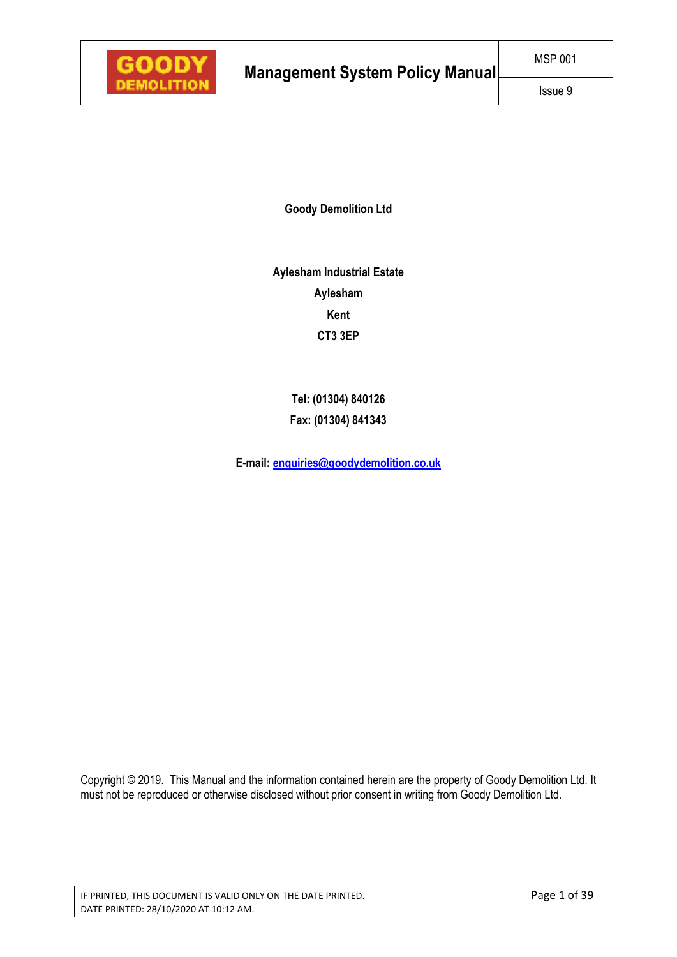**Goody Demolition Ltd** 

**Aylesham Industrial Estate Aylesham Kent CT3 3EP** 

> **Tel: (01304) 840126 Fax: (01304) 841343**

**E-mail: enquiries@goodydemolition.co.uk** 

Copyright © 2019. This Manual and the information contained herein are the property of Goody Demolition Ltd. It must not be reproduced or otherwise disclosed without prior consent in writing from Goody Demolition Ltd.

IF PRINTED, THIS DOCUMENT IS VALID ONLY ON THE DATE PRINTED. Page 1 of 39 DATE PRINTED: 28/10/2020 AT 10:12 AM.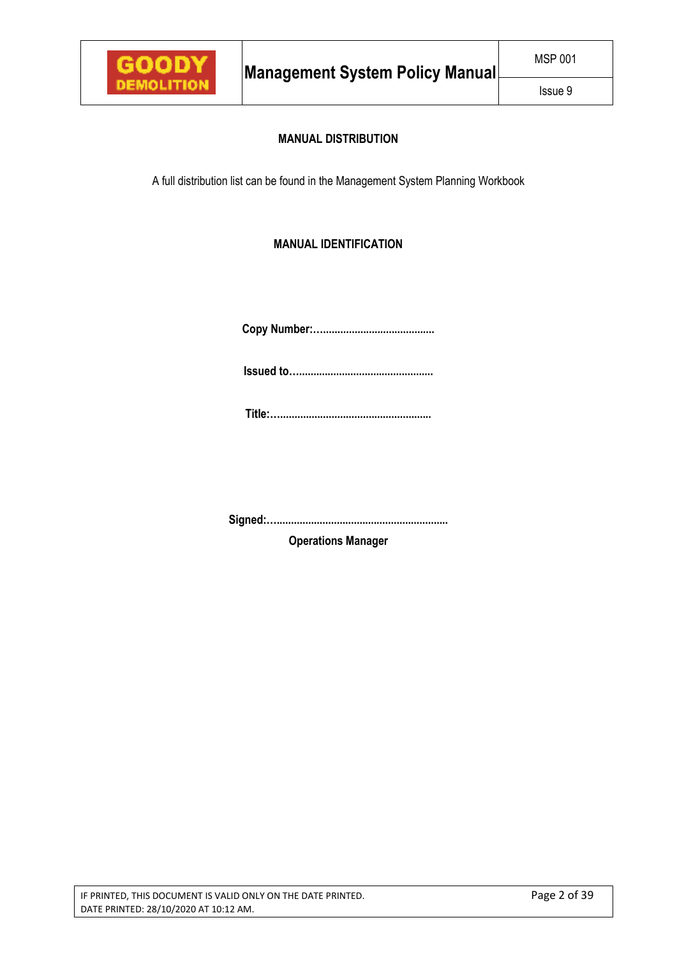

# **MANUAL DISTRIBUTION**

A full distribution list can be found in the Management System Planning Workbook

# **MANUAL IDENTIFICATION**

**Copy Number:….......................................** 

**Issued to…...............................................** 

**Title:….....................................................** 

**Signed:…............................................................** 

**Operations Manager**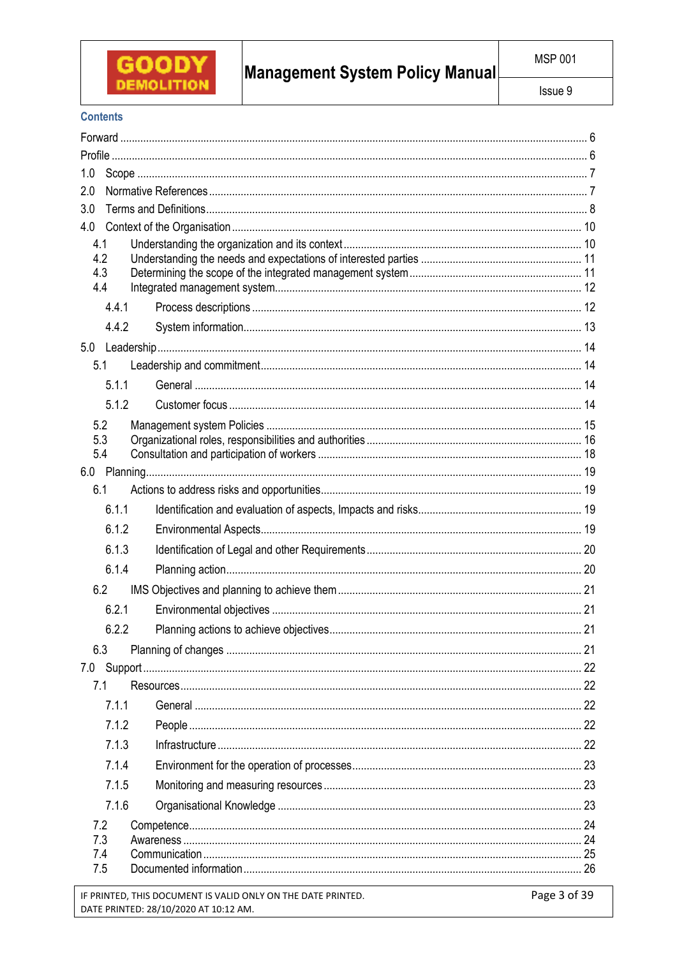

# Management System Policy Manual

# **Contents**

| 1.0        |       |  |
|------------|-------|--|
| 2.0        |       |  |
| 3.0        |       |  |
| 4.0        |       |  |
| 4.1<br>4.2 |       |  |
| 4.3        |       |  |
| 4.4        |       |  |
|            | 4.4.1 |  |
|            | 4.4.2 |  |
|            |       |  |
|            | 5.1   |  |
|            | 5.1.1 |  |
|            | 5.1.2 |  |
| 5.2        |       |  |
| 5.3        |       |  |
| 5.4        |       |  |
|            |       |  |
| 6.1        |       |  |
|            | 6.1.1 |  |
|            | 6.1.2 |  |
|            | 6.1.3 |  |
|            | 6.1.4 |  |
| 6.2        |       |  |
|            | 6.2.1 |  |
|            | 6.2.2 |  |
| 6.3        |       |  |
|            |       |  |
| 7.1        |       |  |
|            | 7.1.1 |  |
|            | 7.1.2 |  |
|            | 7.1.3 |  |
|            | 7.1.4 |  |
|            | 7.1.5 |  |
|            | 7.1.6 |  |
| 7.2        |       |  |
| 7.3        |       |  |
| 7.4<br>7.5 |       |  |
|            |       |  |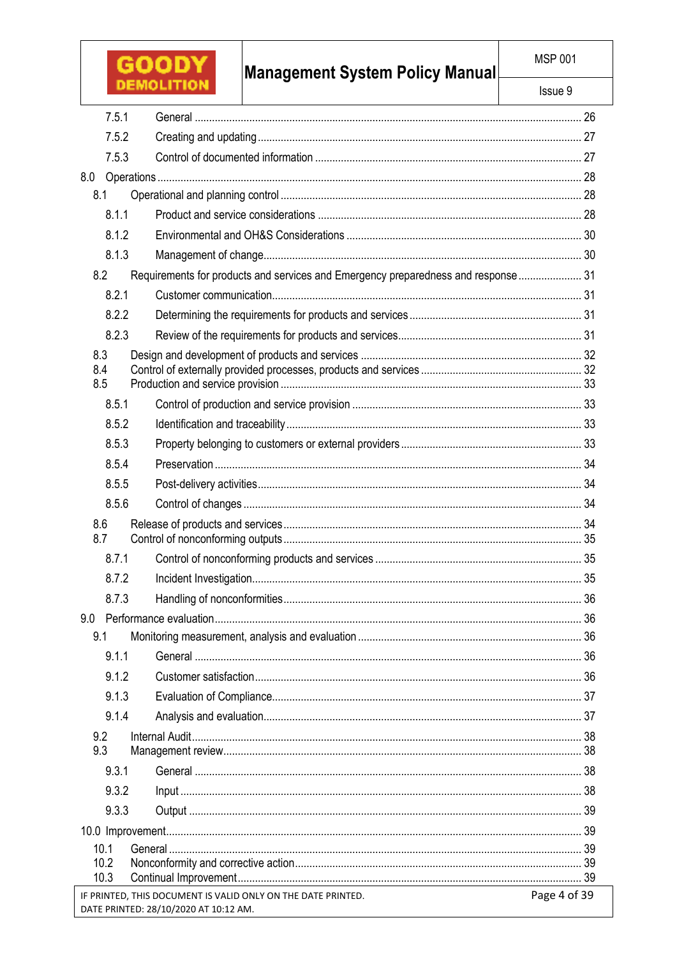| GOOD                                                                                                  | <b>Management System Policy Manual</b>                                             | <b>MSP 001</b> |  |
|-------------------------------------------------------------------------------------------------------|------------------------------------------------------------------------------------|----------------|--|
| <b>DEMOLITION</b>                                                                                     |                                                                                    | Issue 9        |  |
| 7.5.1                                                                                                 |                                                                                    |                |  |
| 7.5.2                                                                                                 |                                                                                    |                |  |
| 7.5.3                                                                                                 |                                                                                    |                |  |
| 8.0                                                                                                   |                                                                                    |                |  |
| 8.1                                                                                                   |                                                                                    |                |  |
| 8.1.1                                                                                                 |                                                                                    |                |  |
| 8.1.2                                                                                                 |                                                                                    |                |  |
| 8.1.3                                                                                                 |                                                                                    |                |  |
| 8.2                                                                                                   | Requirements for products and services and Emergency preparedness and response  31 |                |  |
| 8.2.1                                                                                                 |                                                                                    |                |  |
| 8.2.2                                                                                                 |                                                                                    |                |  |
| 8.2.3                                                                                                 |                                                                                    |                |  |
| 8.3                                                                                                   |                                                                                    |                |  |
| 8.4<br>8.5                                                                                            |                                                                                    |                |  |
| 8.5.1                                                                                                 |                                                                                    |                |  |
| 8.5.2                                                                                                 |                                                                                    |                |  |
| 8.5.3                                                                                                 |                                                                                    |                |  |
| 8.5.4                                                                                                 |                                                                                    |                |  |
| 8.5.5                                                                                                 |                                                                                    |                |  |
| 8.5.6                                                                                                 |                                                                                    |                |  |
| 8.6                                                                                                   |                                                                                    |                |  |
| 8.7                                                                                                   |                                                                                    |                |  |
| 8.7.1                                                                                                 |                                                                                    |                |  |
| 8.7.2                                                                                                 |                                                                                    |                |  |
| 8.7.3                                                                                                 |                                                                                    |                |  |
|                                                                                                       |                                                                                    |                |  |
| 9.1                                                                                                   |                                                                                    |                |  |
| 9.1.1                                                                                                 |                                                                                    |                |  |
| 9.1.2                                                                                                 |                                                                                    |                |  |
| 9.1.3                                                                                                 |                                                                                    |                |  |
| 9.1.4                                                                                                 |                                                                                    |                |  |
| 9.2                                                                                                   |                                                                                    |                |  |
| 9.3                                                                                                   |                                                                                    |                |  |
| 9.3.1                                                                                                 |                                                                                    |                |  |
| 9.3.2                                                                                                 |                                                                                    |                |  |
| 9.3.3                                                                                                 |                                                                                    |                |  |
| 10.1                                                                                                  |                                                                                    |                |  |
| 10.2                                                                                                  |                                                                                    |                |  |
| 10.3                                                                                                  |                                                                                    |                |  |
| IF PRINTED, THIS DOCUMENT IS VALID ONLY ON THE DATE PRINTED.<br>DATE PRINTED: 28/10/2020 AT 10:12 AM. |                                                                                    | Page 4 of 39   |  |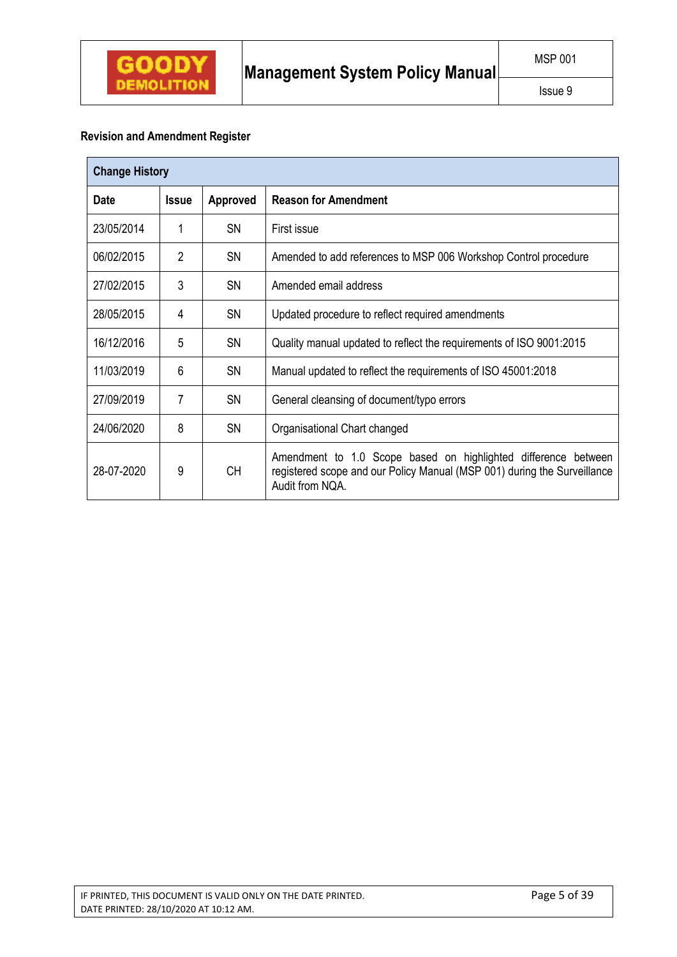# **Revision and Amendment Register**

| <b>Change History</b>                          |                |           |                                                                                                                                                               |  |  |
|------------------------------------------------|----------------|-----------|---------------------------------------------------------------------------------------------------------------------------------------------------------------|--|--|
| <b>Date</b><br><b>Approved</b><br><b>Issue</b> |                |           | <b>Reason for Amendment</b>                                                                                                                                   |  |  |
| 23/05/2014                                     | 1              | <b>SN</b> | First issue                                                                                                                                                   |  |  |
| 06/02/2015                                     | $\overline{2}$ | <b>SN</b> | Amended to add references to MSP 006 Workshop Control procedure                                                                                               |  |  |
| 27/02/2015                                     | 3              | <b>SN</b> | Amended email address                                                                                                                                         |  |  |
| 28/05/2015                                     | 4              | <b>SN</b> | Updated procedure to reflect required amendments                                                                                                              |  |  |
| 16/12/2016                                     | 5              | <b>SN</b> | Quality manual updated to reflect the requirements of ISO 9001:2015                                                                                           |  |  |
| 11/03/2019                                     | 6              | <b>SN</b> | Manual updated to reflect the requirements of ISO 45001:2018                                                                                                  |  |  |
| 27/09/2019                                     | 7              | <b>SN</b> | General cleansing of document/typo errors                                                                                                                     |  |  |
| 24/06/2020                                     | 8              | <b>SN</b> | Organisational Chart changed                                                                                                                                  |  |  |
| 28-07-2020                                     | 9              | <b>CH</b> | Amendment to 1.0 Scope based on highlighted difference between<br>registered scope and our Policy Manual (MSP 001) during the Surveillance<br>Audit from NQA. |  |  |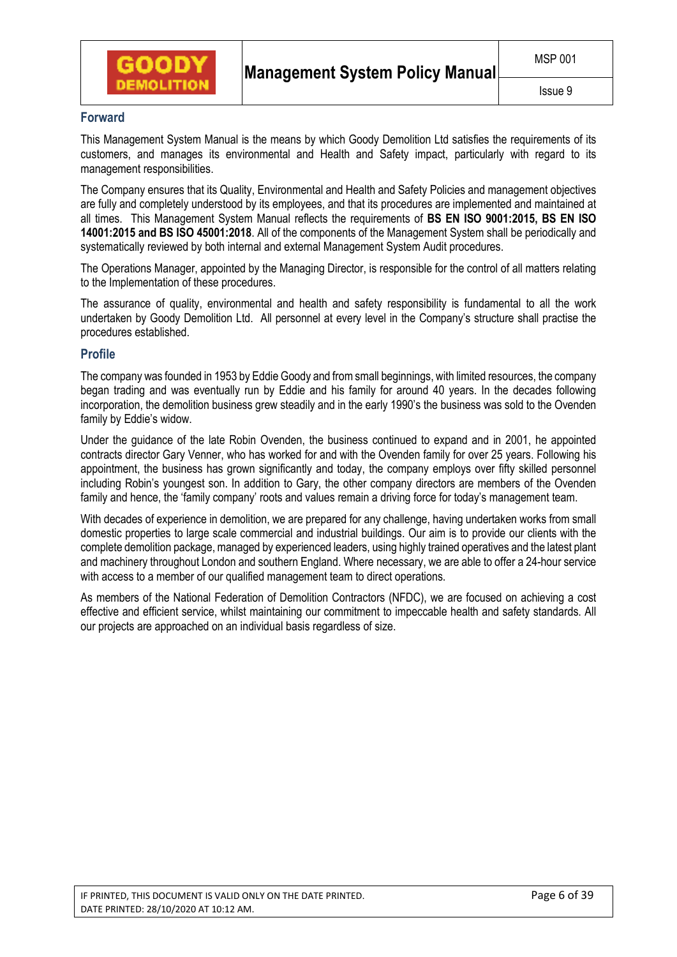

# **Forward**

This Management System Manual is the means by which Goody Demolition Ltd satisfies the requirements of its customers, and manages its environmental and Health and Safety impact, particularly with regard to its management responsibilities.

The Company ensures that its Quality, Environmental and Health and Safety Policies and management objectives are fully and completely understood by its employees, and that its procedures are implemented and maintained at all times. This Management System Manual reflects the requirements of **BS EN ISO 9001:2015, BS EN ISO 14001:2015 and BS ISO 45001:2018**. All of the components of the Management System shall be periodically and systematically reviewed by both internal and external Management System Audit procedures.

The Operations Manager, appointed by the Managing Director, is responsible for the control of all matters relating to the Implementation of these procedures.

The assurance of quality, environmental and health and safety responsibility is fundamental to all the work undertaken by Goody Demolition Ltd. All personnel at every level in the Company's structure shall practise the procedures established.

# **Profile**

The company was founded in 1953 by Eddie Goody and from small beginnings, with limited resources, the company began trading and was eventually run by Eddie and his family for around 40 years. In the decades following incorporation, the demolition business grew steadily and in the early 1990's the business was sold to the Ovenden family by Eddie's widow.

Under the guidance of the late Robin Ovenden, the business continued to expand and in 2001, he appointed contracts director Gary Venner, who has worked for and with the Ovenden family for over 25 years. Following his appointment, the business has grown significantly and today, the company employs over fifty skilled personnel including Robin's youngest son. In addition to Gary, the other company directors are members of the Ovenden family and hence, the 'family company' roots and values remain a driving force for today's management team.

With decades of experience in demolition, we are prepared for any challenge, having undertaken works from small domestic properties to large scale commercial and industrial buildings. Our aim is to provide our clients with the complete demolition package, managed by experienced leaders, using highly trained operatives and the latest plant and machinery throughout London and southern England. Where necessary, we are able to offer a 24-hour service with access to a member of our qualified management team to direct operations.

As members of the National Federation of Demolition Contractors (NFDC), we are focused on achieving a cost effective and efficient service, whilst maintaining our commitment to impeccable health and safety standards. All our projects are approached on an individual basis regardless of size.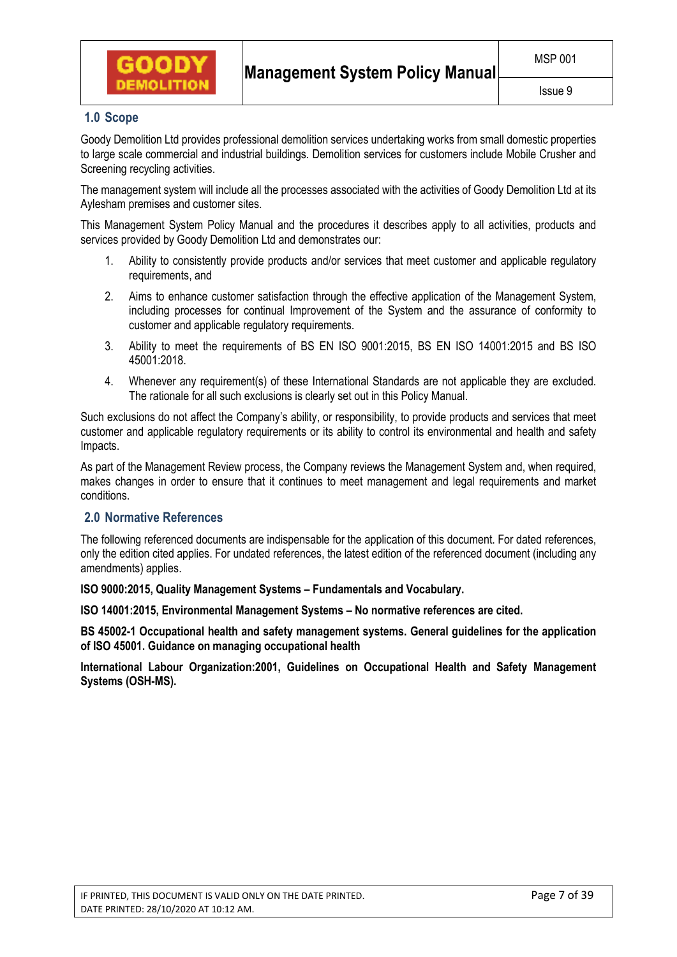

# **1.0 Scope**

Goody Demolition Ltd provides professional demolition services undertaking works from small domestic properties to large scale commercial and industrial buildings. Demolition services for customers include Mobile Crusher and Screening recycling activities.

The management system will include all the processes associated with the activities of Goody Demolition Ltd at its Aylesham premises and customer sites.

This Management System Policy Manual and the procedures it describes apply to all activities, products and services provided by Goody Demolition Ltd and demonstrates our:

- 1. Ability to consistently provide products and/or services that meet customer and applicable regulatory requirements, and
- 2. Aims to enhance customer satisfaction through the effective application of the Management System, including processes for continual Improvement of the System and the assurance of conformity to customer and applicable regulatory requirements.
- 3. Ability to meet the requirements of BS EN ISO 9001:2015, BS EN ISO 14001:2015 and BS ISO 45001:2018.
- 4. Whenever any requirement(s) of these International Standards are not applicable they are excluded. The rationale for all such exclusions is clearly set out in this Policy Manual.

Such exclusions do not affect the Company's ability, or responsibility, to provide products and services that meet customer and applicable regulatory requirements or its ability to control its environmental and health and safety Impacts.

As part of the Management Review process, the Company reviews the Management System and, when required, makes changes in order to ensure that it continues to meet management and legal requirements and market conditions.

# **2.0 Normative References**

The following referenced documents are indispensable for the application of this document. For dated references, only the edition cited applies. For undated references, the latest edition of the referenced document (including any amendments) applies.

**ISO 9000:2015, Quality Management Systems – Fundamentals and Vocabulary.** 

**ISO 14001:2015, Environmental Management Systems – No normative references are cited.** 

**BS 45002-1 Occupational health and safety management systems. General guidelines for the application of ISO 45001. Guidance on managing occupational health** 

**International Labour Organization:2001, Guidelines on Occupational Health and Safety Management Systems (OSH-MS).**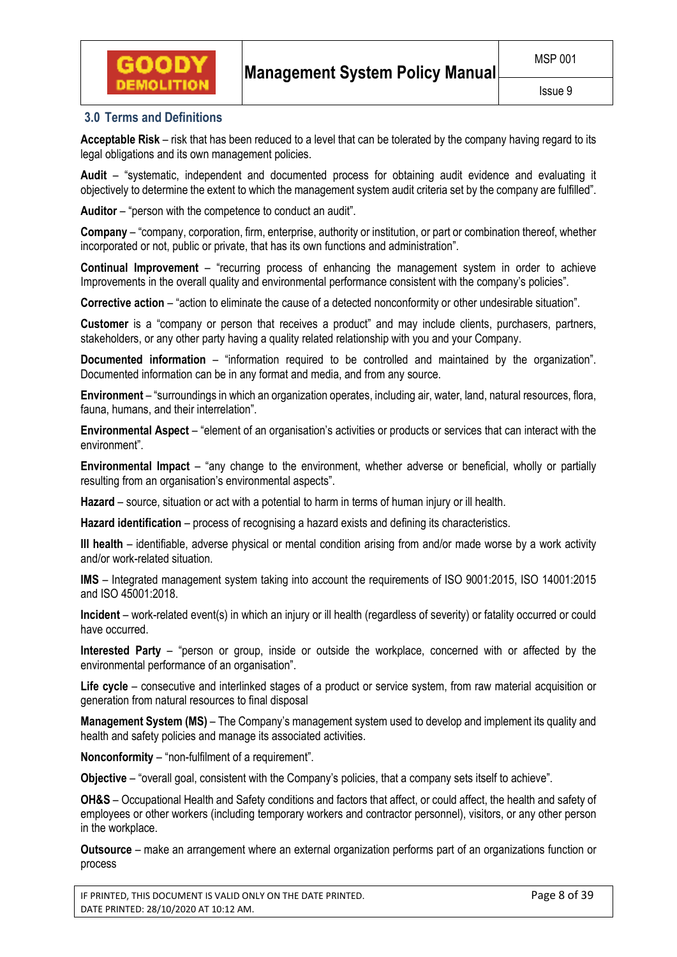

# **3.0 Terms and Definitions**

**Acceptable Risk** – risk that has been reduced to a level that can be tolerated by the company having regard to its legal obligations and its own management policies.

**Audit** – "systematic, independent and documented process for obtaining audit evidence and evaluating it objectively to determine the extent to which the management system audit criteria set by the company are fulfilled".

**Auditor** – "person with the competence to conduct an audit".

**Company** – "company, corporation, firm, enterprise, authority or institution, or part or combination thereof, whether incorporated or not, public or private, that has its own functions and administration".

**Continual Improvement** – "recurring process of enhancing the management system in order to achieve Improvements in the overall quality and environmental performance consistent with the company's policies".

**Corrective action** – "action to eliminate the cause of a detected nonconformity or other undesirable situation".

**Customer** is a "company or person that receives a product" and may include clients, purchasers, partners, stakeholders, or any other party having a quality related relationship with you and your Company.

**Documented information** – "information required to be controlled and maintained by the organization". Documented information can be in any format and media, and from any source.

**Environment** – "surroundings in which an organization operates, including air, water, land, natural resources, flora, fauna, humans, and their interrelation".

**Environmental Aspect** – "element of an organisation's activities or products or services that can interact with the environment".

**Environmental Impact** – "any change to the environment, whether adverse or beneficial, wholly or partially resulting from an organisation's environmental aspects".

**Hazard** – source, situation or act with a potential to harm in terms of human injury or ill health.

**Hazard identification** – process of recognising a hazard exists and defining its characteristics.

**Ill health** – identifiable, adverse physical or mental condition arising from and/or made worse by a work activity and/or work-related situation.

**IMS** – Integrated management system taking into account the requirements of ISO 9001:2015, ISO 14001:2015 and ISO 45001:2018.

**Incident** – work-related event(s) in which an injury or ill health (regardless of severity) or fatality occurred or could have occurred.

**Interested Party** – "person or group, inside or outside the workplace, concerned with or affected by the environmental performance of an organisation".

**Life cycle** – consecutive and interlinked stages of a product or service system, from raw material acquisition or generation from natural resources to final disposal

**Management System (MS)** – The Company's management system used to develop and implement its quality and health and safety policies and manage its associated activities.

**Nonconformity** – "non-fulfilment of a requirement".

**Objective** – "overall goal, consistent with the Company's policies, that a company sets itself to achieve".

**OH&S** – Occupational Health and Safety conditions and factors that affect, or could affect, the health and safety of employees or other workers (including temporary workers and contractor personnel), visitors, or any other person in the workplace.

**Outsource** – make an arrangement where an external organization performs part of an organizations function or process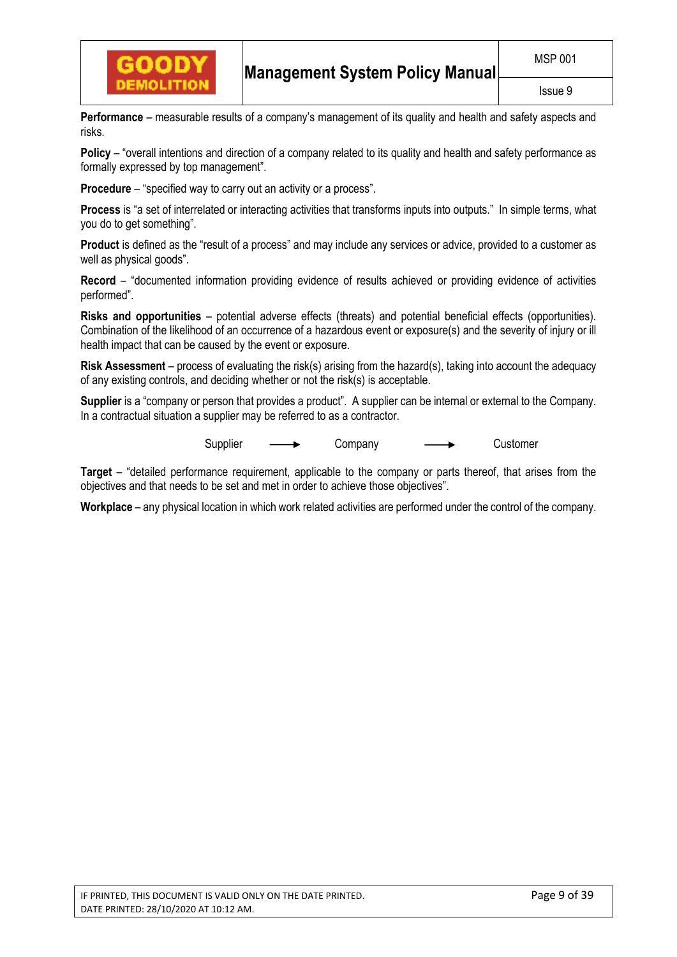

**Performance** – measurable results of a company's management of its quality and health and safety aspects and risks.

**Policy** – "overall intentions and direction of a company related to its quality and health and safety performance as formally expressed by top management".

**Procedure** – "specified way to carry out an activity or a process".

**Process** is "a set of interrelated or interacting activities that transforms inputs into outputs." In simple terms, what you do to get something".

**Product** is defined as the "result of a process" and may include any services or advice, provided to a customer as well as physical goods".

**Record** – "documented information providing evidence of results achieved or providing evidence of activities performed".

**Risks and opportunities** – potential adverse effects (threats) and potential beneficial effects (opportunities). Combination of the likelihood of an occurrence of a hazardous event or exposure(s) and the severity of injury or ill health impact that can be caused by the event or exposure.

**Risk Assessment** – process of evaluating the risk(s) arising from the hazard(s), taking into account the adequacy of any existing controls, and deciding whether or not the risk(s) is acceptable.

**Supplier** is a "company or person that provides a product". A supplier can be internal or external to the Company. In a contractual situation a supplier may be referred to as a contractor.

Supplier  $\longrightarrow$  Company  $\longrightarrow$  Customer

**Target** – "detailed performance requirement, applicable to the company or parts thereof, that arises from the objectives and that needs to be set and met in order to achieve those objectives".

**Workplace** – any physical location in which work related activities are performed under the control of the company.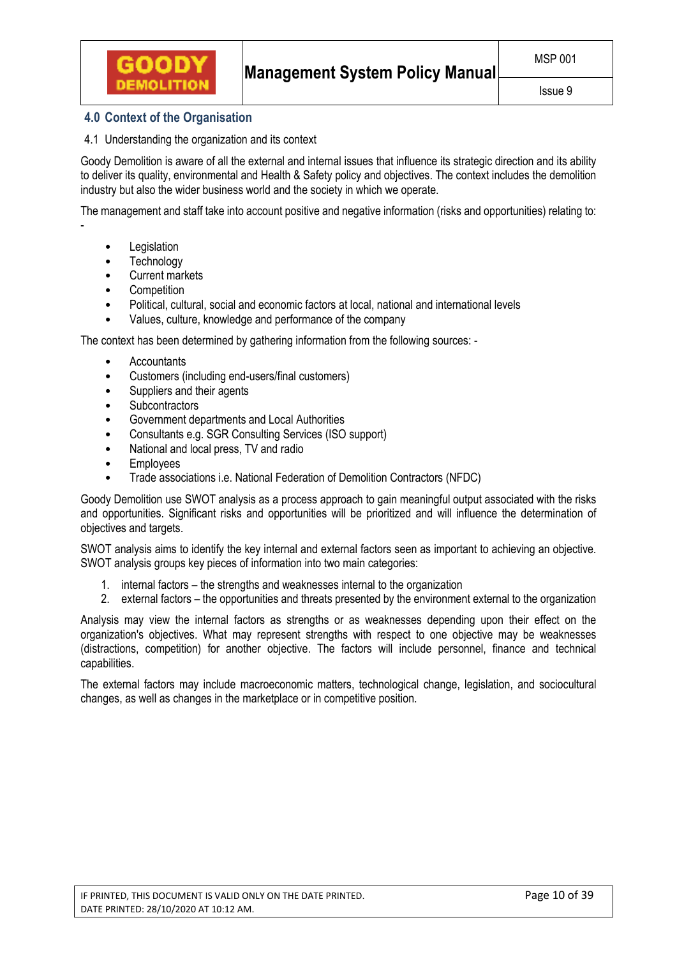# **4.0 Context of the Organisation**

# 4.1 Understanding the organization and its context

Goody Demolition is aware of all the external and internal issues that influence its strategic direction and its ability to deliver its quality, environmental and Health & Safety policy and objectives. The context includes the demolition industry but also the wider business world and the society in which we operate.

The management and staff take into account positive and negative information (risks and opportunities) relating to:

**Legislation** 

-

- **Technology**
- Current markets
- **Competition**
- Political, cultural, social and economic factors at local, national and international levels
- Values, culture, knowledge and performance of the company

The context has been determined by gathering information from the following sources: -

- **Accountants**
- Customers (including end-users/final customers)
- Suppliers and their agents
- **Subcontractors**
- Government departments and Local Authorities
- Consultants e.g. SGR Consulting Services (ISO support)
- National and local press, TV and radio
- **Employees**
- Trade associations i.e. National Federation of Demolition Contractors (NFDC)

Goody Demolition use SWOT analysis as a process approach to gain meaningful output associated with the risks and opportunities. Significant risks and opportunities will be prioritized and will influence the determination of objectives and targets.

SWOT analysis aims to identify the key internal and external factors seen as important to achieving an objective. SWOT analysis groups key pieces of information into two main categories:

- 1. internal factors the strengths and weaknesses internal to the organization
- 2. external factors the opportunities and threats presented by the environment external to the organization

Analysis may view the internal factors as strengths or as weaknesses depending upon their effect on the organization's objectives. What may represent strengths with respect to one objective may be weaknesses (distractions, competition) for another objective. The factors will include personnel, finance and technical capabilities.

The external factors may include macroeconomic matters, technological change, legislation, and sociocultural changes, as well as changes in the marketplace or in competitive position.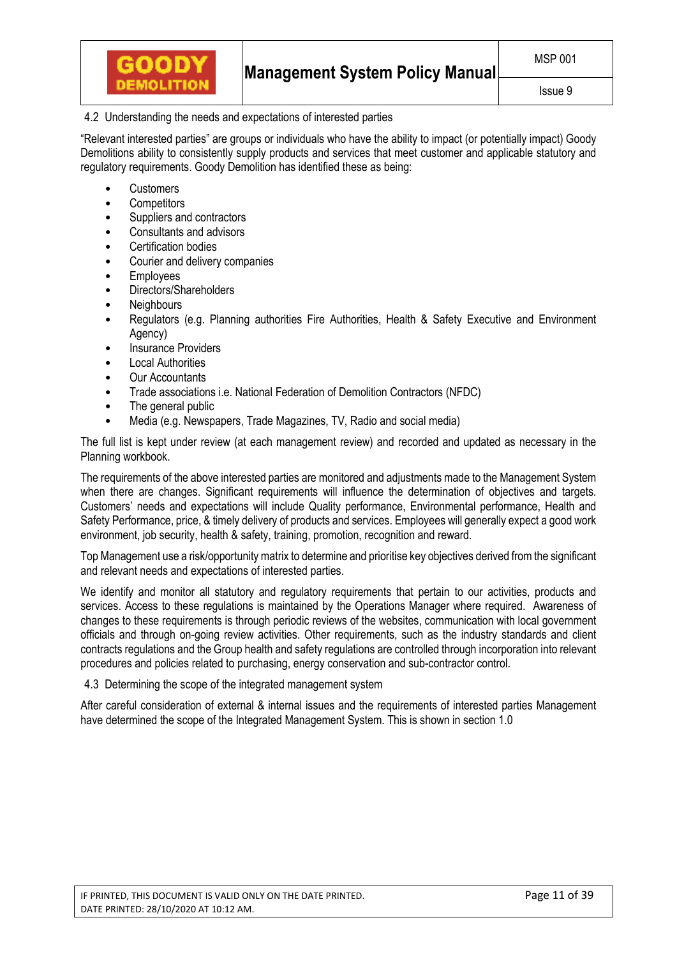# 4.2 Understanding the needs and expectations of interested parties

"Relevant interested parties" are groups or individuals who have the ability to impact (or potentially impact) Goody Demolitions ability to consistently supply products and services that meet customer and applicable statutory and regulatory requirements. Goody Demolition has identified these as being:

- Customers
- **Competitors**
- Suppliers and contractors
- Consultants and advisors
- Certification bodies
- Courier and delivery companies
- **Employees**
- Directors/Shareholders
- **Neighbours**
- Regulators (e.g. Planning authorities Fire Authorities, Health & Safety Executive and Environment Agency)
- **Insurance Providers**
- **Local Authorities**
- Our Accountants
- Trade associations i.e. National Federation of Demolition Contractors (NFDC)
- The general public
- Media (e.g. Newspapers, Trade Magazines, TV, Radio and social media)

The full list is kept under review (at each management review) and recorded and updated as necessary in the Planning workbook.

The requirements of the above interested parties are monitored and adjustments made to the Management System when there are changes. Significant requirements will influence the determination of objectives and targets. Customers' needs and expectations will include Quality performance, Environmental performance, Health and Safety Performance, price, & timely delivery of products and services. Employees will generally expect a good work environment, job security, health & safety, training, promotion, recognition and reward.

Top Management use a risk/opportunity matrix to determine and prioritise key objectives derived from the significant and relevant needs and expectations of interested parties.

We identify and monitor all statutory and regulatory requirements that pertain to our activities, products and services. Access to these regulations is maintained by the Operations Manager where required. Awareness of changes to these requirements is through periodic reviews of the websites, communication with local government officials and through on-going review activities. Other requirements, such as the industry standards and client contracts regulations and the Group health and safety regulations are controlled through incorporation into relevant procedures and policies related to purchasing, energy conservation and sub-contractor control.

## 4.3 Determining the scope of the integrated management system

After careful consideration of external & internal issues and the requirements of interested parties Management have determined the scope of the Integrated Management System. This is shown in section 1.0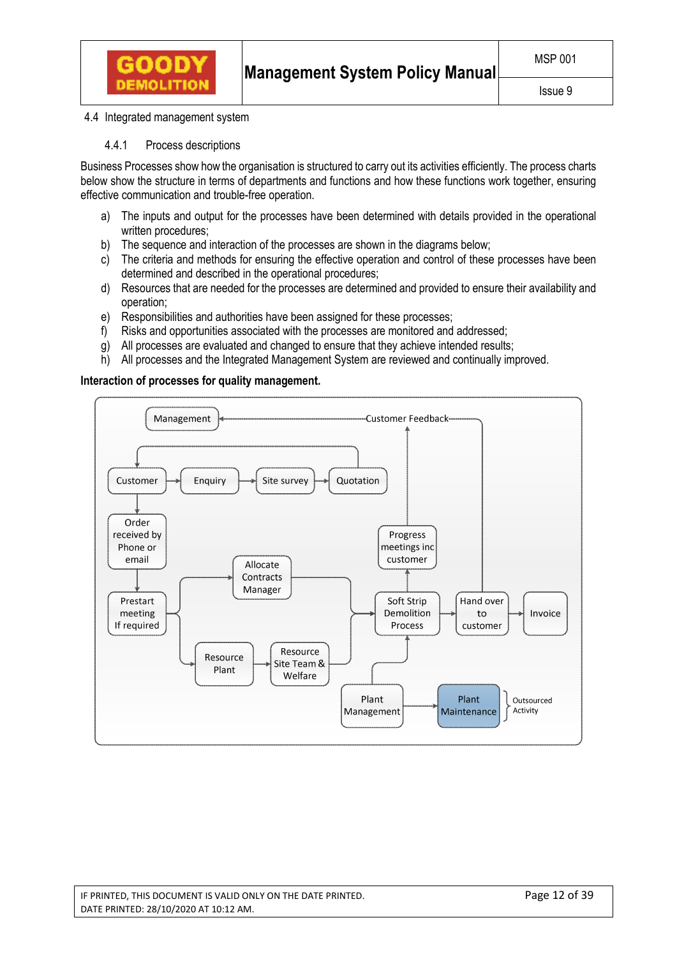

#### 4.4 Integrated management system

4.4.1 Process descriptions

Business Processes show how the organisation is structured to carry out its activities efficiently. The process charts below show the structure in terms of departments and functions and how these functions work together, ensuring effective communication and trouble-free operation.

- a) The inputs and output for the processes have been determined with details provided in the operational written procedures;
- b) The sequence and interaction of the processes are shown in the diagrams below:
- c) The criteria and methods for ensuring the effective operation and control of these processes have been determined and described in the operational procedures;
- d) Resources that are needed for the processes are determined and provided to ensure their availability and operation;
- e) Responsibilities and authorities have been assigned for these processes;
- f) Risks and opportunities associated with the processes are monitored and addressed;
- g) All processes are evaluated and changed to ensure that they achieve intended results;
- h) All processes and the Integrated Management System are reviewed and continually improved.

## **Interaction of processes for quality management.**



IF PRINTED, THIS DOCUMENT IS VALID ONLY ON THE DATE PRINTED. Page 12 of 39 DATE PRINTED: 28/10/2020 AT 10:12 AM.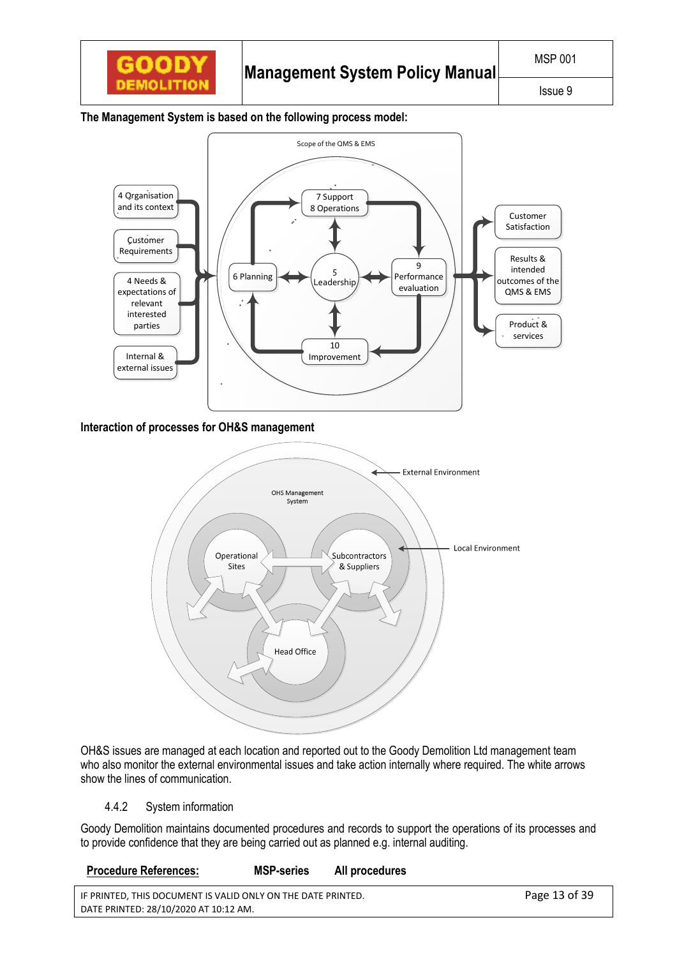

## **The Management System is based on the following process model:**



**Interaction of processes for OH&S management** 



OH&S issues are managed at each location and reported out to the Goody Demolition Ltd management team who also monitor the external environmental issues and take action internally where required. The white arrows show the lines of communication.

# 4.4.2 System information

Goody Demolition maintains documented procedures and records to support the operations of its processes and to provide confidence that they are being carried out as planned e.g. internal auditing.

## **Procedure References: MSP-series All procedures**

| IF PRINTED, THIS DOCUMENT IS VALID ONLY ON THE DATE PRINTED. | Page 13 of 39 |
|--------------------------------------------------------------|---------------|
| DATE PRINTED: 28/10/2020 AT 10:12 AM.                        |               |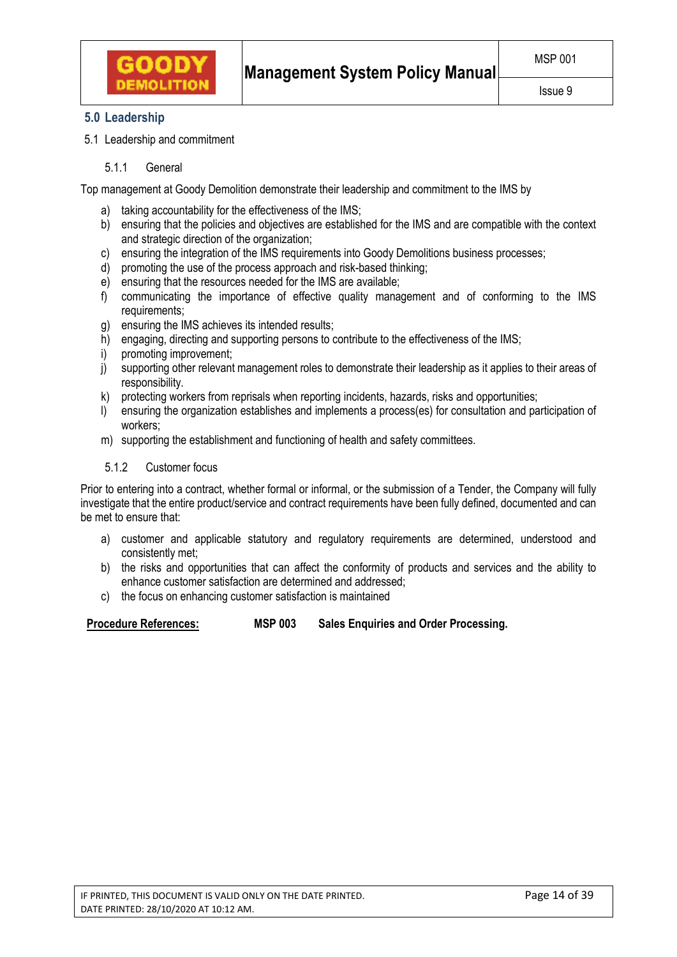

# **5.0 Leadership**

5.1 Leadership and commitment

5.1.1 General

Top management at Goody Demolition demonstrate their leadership and commitment to the IMS by

- a) taking accountability for the effectiveness of the IMS;
- b) ensuring that the policies and objectives are established for the IMS and are compatible with the context and strategic direction of the organization;
- c) ensuring the integration of the IMS requirements into Goody Demolitions business processes;
- d) promoting the use of the process approach and risk-based thinking;
- e) ensuring that the resources needed for the IMS are available;
- f) communicating the importance of effective quality management and of conforming to the IMS requirements;
- g) ensuring the IMS achieves its intended results;
- h) engaging, directing and supporting persons to contribute to the effectiveness of the IMS;
- i) promoting improvement;
- j) supporting other relevant management roles to demonstrate their leadership as it applies to their areas of responsibility.
- k) protecting workers from reprisals when reporting incidents, hazards, risks and opportunities;
- l) ensuring the organization establishes and implements a process(es) for consultation and participation of workers;
- m) supporting the establishment and functioning of health and safety committees.

# 5.1.2 Customer focus

Prior to entering into a contract, whether formal or informal, or the submission of a Tender, the Company will fully investigate that the entire product/service and contract requirements have been fully defined, documented and can be met to ensure that:

- a) customer and applicable statutory and regulatory requirements are determined, understood and consistently met;
- b) the risks and opportunities that can affect the conformity of products and services and the ability to enhance customer satisfaction are determined and addressed;
- c) the focus on enhancing customer satisfaction is maintained

**Procedure References: MSP 003 Sales Enquiries and Order Processing.**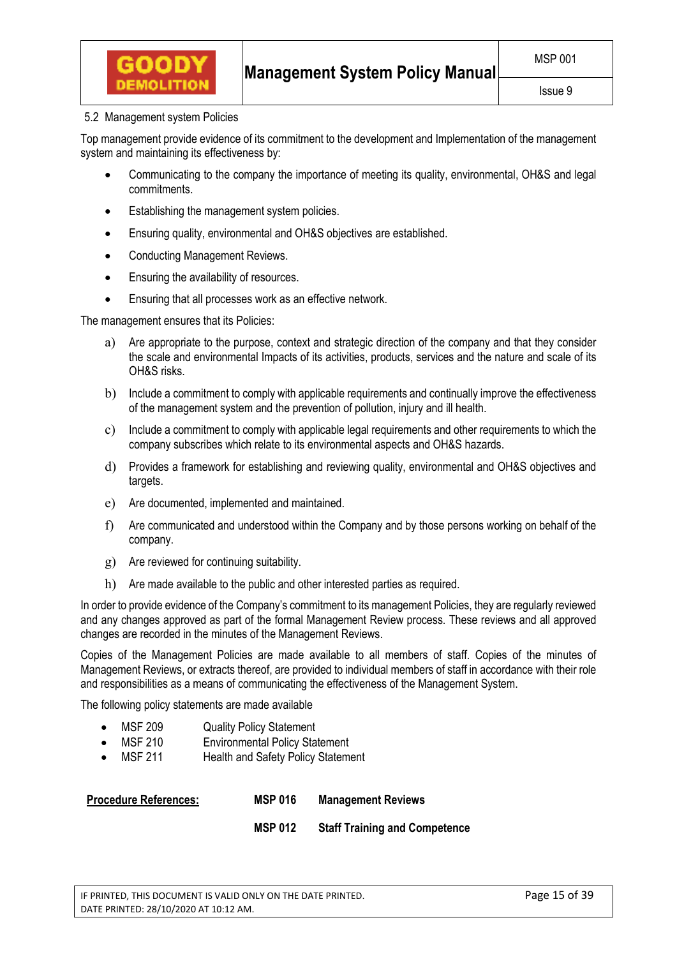## 5.2 Management system Policies

**GOODY** 

Top management provide evidence of its commitment to the development and Implementation of the management system and maintaining its effectiveness by:

- Communicating to the company the importance of meeting its quality, environmental, OH&S and legal commitments.
- Establishing the management system policies.
- Ensuring quality, environmental and OH&S objectives are established.
- Conducting Management Reviews.
- Ensuring the availability of resources.
- Ensuring that all processes work as an effective network.

The management ensures that its Policies:

- a) Are appropriate to the purpose, context and strategic direction of the company and that they consider the scale and environmental Impacts of its activities, products, services and the nature and scale of its OH&S risks.
- b) Include a commitment to comply with applicable requirements and continually improve the effectiveness of the management system and the prevention of pollution, injury and ill health.
- c) Include a commitment to comply with applicable legal requirements and other requirements to which the company subscribes which relate to its environmental aspects and OH&S hazards.
- d) Provides a framework for establishing and reviewing quality, environmental and OH&S objectives and targets.
- e) Are documented, implemented and maintained.
- f) Are communicated and understood within the Company and by those persons working on behalf of the company.
- g) Are reviewed for continuing suitability.
- h) Are made available to the public and other interested parties as required.

In order to provide evidence of the Company's commitment to its management Policies, they are regularly reviewed and any changes approved as part of the formal Management Review process. These reviews and all approved changes are recorded in the minutes of the Management Reviews.

Copies of the Management Policies are made available to all members of staff. Copies of the minutes of Management Reviews, or extracts thereof, are provided to individual members of staff in accordance with their role and responsibilities as a means of communicating the effectiveness of the Management System.

The following policy statements are made available

- MSF 209 Quality Policy Statement
- MSF 210 Environmental Policy Statement
- MSF 211 Health and Safety Policy Statement

|  | <b>Procedure References:</b> | <b>MSP 016</b> | <b>Management Reviews</b> |
|--|------------------------------|----------------|---------------------------|
|--|------------------------------|----------------|---------------------------|

 **MSP 012 Staff Training and Competence**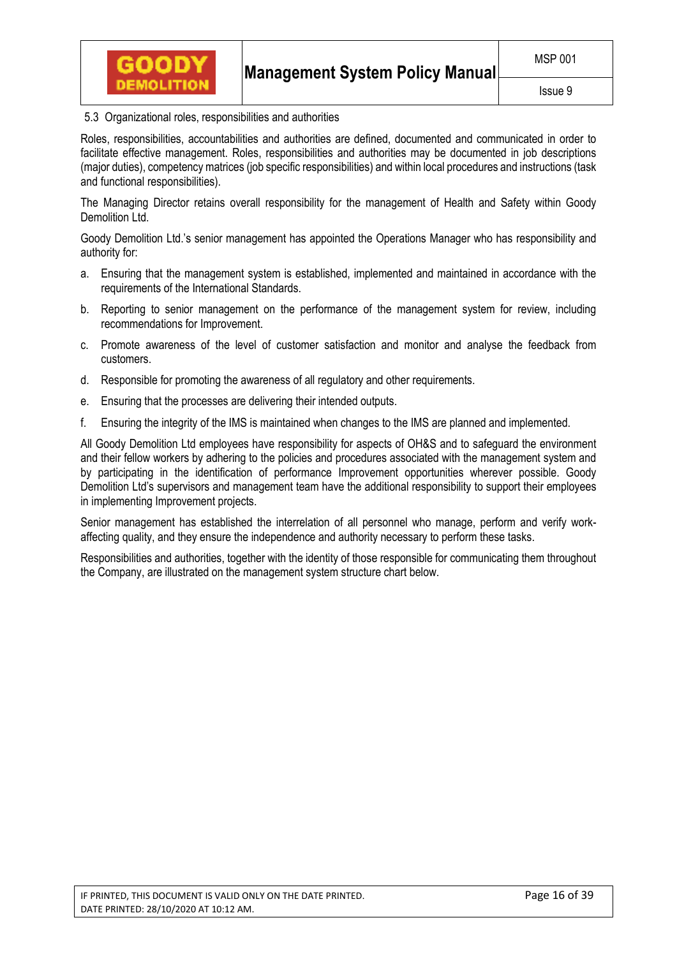

## 5.3 Organizational roles, responsibilities and authorities

Roles, responsibilities, accountabilities and authorities are defined, documented and communicated in order to facilitate effective management. Roles, responsibilities and authorities may be documented in job descriptions (major duties), competency matrices (job specific responsibilities) and within local procedures and instructions (task and functional responsibilities).

The Managing Director retains overall responsibility for the management of Health and Safety within Goody Demolition Ltd.

Goody Demolition Ltd.'s senior management has appointed the Operations Manager who has responsibility and authority for:

- a. Ensuring that the management system is established, implemented and maintained in accordance with the requirements of the International Standards.
- b. Reporting to senior management on the performance of the management system for review, including recommendations for Improvement.
- c. Promote awareness of the level of customer satisfaction and monitor and analyse the feedback from customers.
- d. Responsible for promoting the awareness of all regulatory and other requirements.
- e. Ensuring that the processes are delivering their intended outputs.
- f. Ensuring the integrity of the IMS is maintained when changes to the IMS are planned and implemented.

All Goody Demolition Ltd employees have responsibility for aspects of OH&S and to safeguard the environment and their fellow workers by adhering to the policies and procedures associated with the management system and by participating in the identification of performance Improvement opportunities wherever possible. Goody Demolition Ltd's supervisors and management team have the additional responsibility to support their employees in implementing Improvement projects.

Senior management has established the interrelation of all personnel who manage, perform and verify workaffecting quality, and they ensure the independence and authority necessary to perform these tasks.

Responsibilities and authorities, together with the identity of those responsible for communicating them throughout the Company, are illustrated on the management system structure chart below.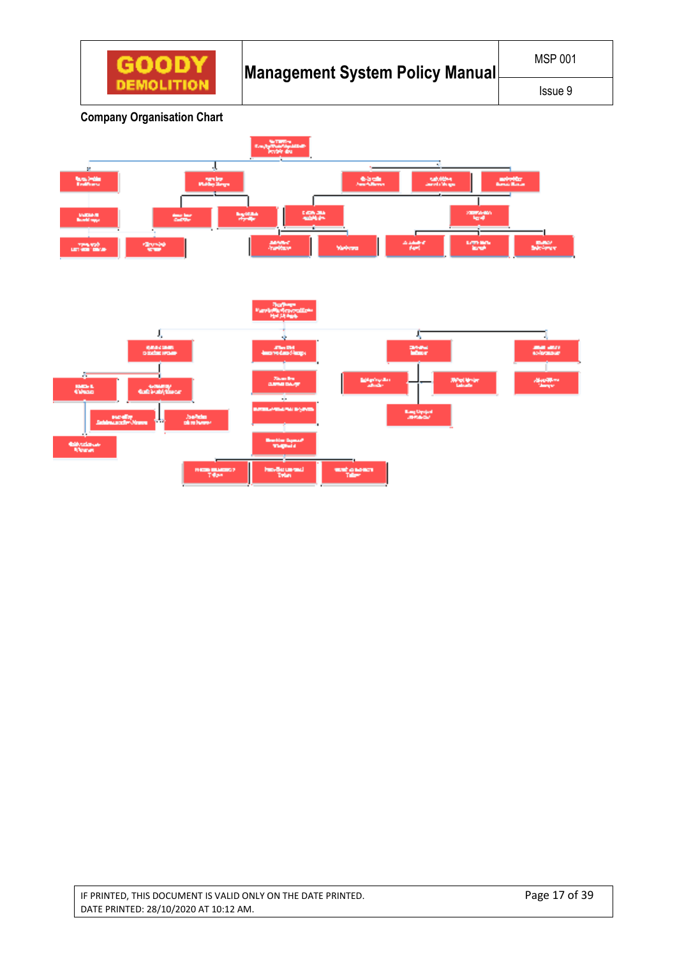

**Company Organisation Chart** 



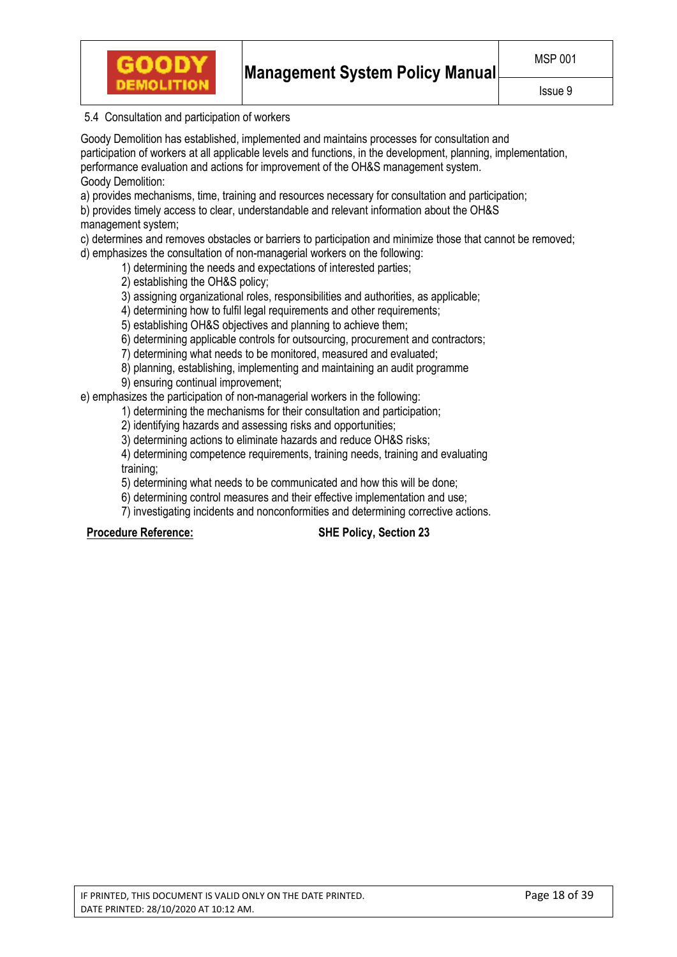

# 5.4 Consultation and participation of workers

Goody Demolition has established, implemented and maintains processes for consultation and participation of workers at all applicable levels and functions, in the development, planning, implementation, performance evaluation and actions for improvement of the OH&S management system. Goody Demolition:

a) provides mechanisms, time, training and resources necessary for consultation and participation;

b) provides timely access to clear, understandable and relevant information about the OH&S management system;

c) determines and removes obstacles or barriers to participation and minimize those that cannot be removed; d) emphasizes the consultation of non-managerial workers on the following:

1) determining the needs and expectations of interested parties;

2) establishing the OH&S policy;

3) assigning organizational roles, responsibilities and authorities, as applicable;

4) determining how to fulfil legal requirements and other requirements;

5) establishing OH&S objectives and planning to achieve them;

6) determining applicable controls for outsourcing, procurement and contractors;

7) determining what needs to be monitored, measured and evaluated;

8) planning, establishing, implementing and maintaining an audit programme 9) ensuring continual improvement;

e) emphasizes the participation of non-managerial workers in the following:

1) determining the mechanisms for their consultation and participation;

2) identifying hazards and assessing risks and opportunities;

3) determining actions to eliminate hazards and reduce OH&S risks;

4) determining competence requirements, training needs, training and evaluating training;

5) determining what needs to be communicated and how this will be done;

6) determining control measures and their effective implementation and use;

7) investigating incidents and nonconformities and determining corrective actions.

**Procedure Reference: SHE Policy, Section 23**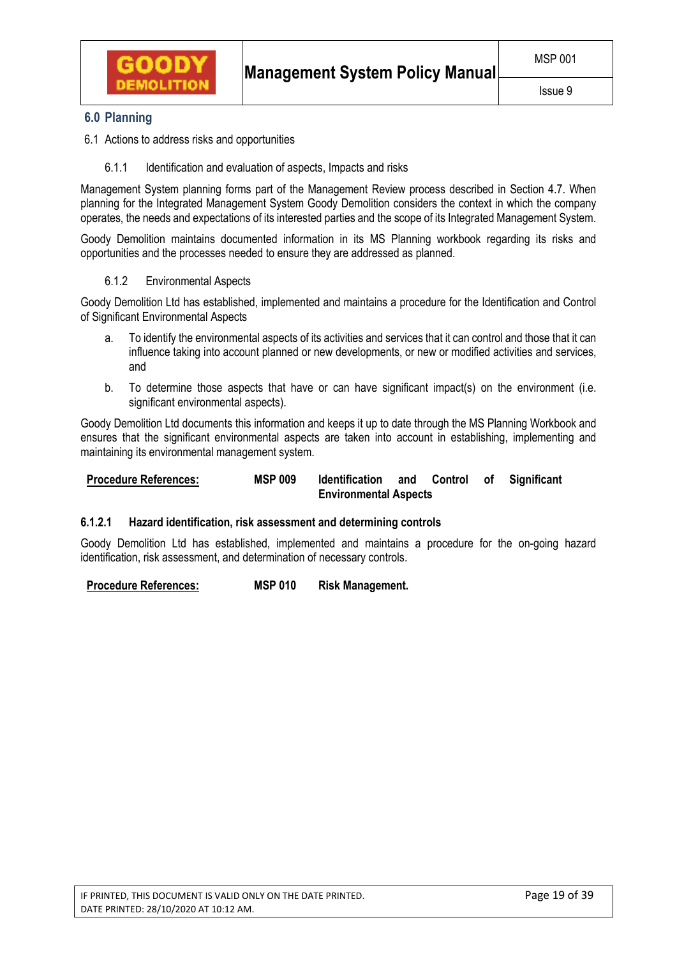

# **6.0 Planning**

- 6.1 Actions to address risks and opportunities
	- 6.1.1 Identification and evaluation of aspects, Impacts and risks

Management System planning forms part of the Management Review process described in Section 4.7. When planning for the Integrated Management System Goody Demolition considers the context in which the company operates, the needs and expectations of its interested parties and the scope of its Integrated Management System.

Goody Demolition maintains documented information in its MS Planning workbook regarding its risks and opportunities and the processes needed to ensure they are addressed as planned.

## 6.1.2 Environmental Aspects

Goody Demolition Ltd has established, implemented and maintains a procedure for the Identification and Control of Significant Environmental Aspects

- a. To identify the environmental aspects of its activities and services that it can control and those that it can influence taking into account planned or new developments, or new or modified activities and services, and
- b. To determine those aspects that have or can have significant impact(s) on the environment (i.e. significant environmental aspects).

Goody Demolition Ltd documents this information and keeps it up to date through the MS Planning Workbook and ensures that the significant environmental aspects are taken into account in establishing, implementing and maintaining its environmental management system.

## **Procedure References: MSP 009 Identification and Control of Significant Environmental Aspects**

## **6.1.2.1 Hazard identification, risk assessment and determining controls**

Goody Demolition Ltd has established, implemented and maintains a procedure for the on-going hazard identification, risk assessment, and determination of necessary controls.

**Procedure References: MSP 010 Risk Management.**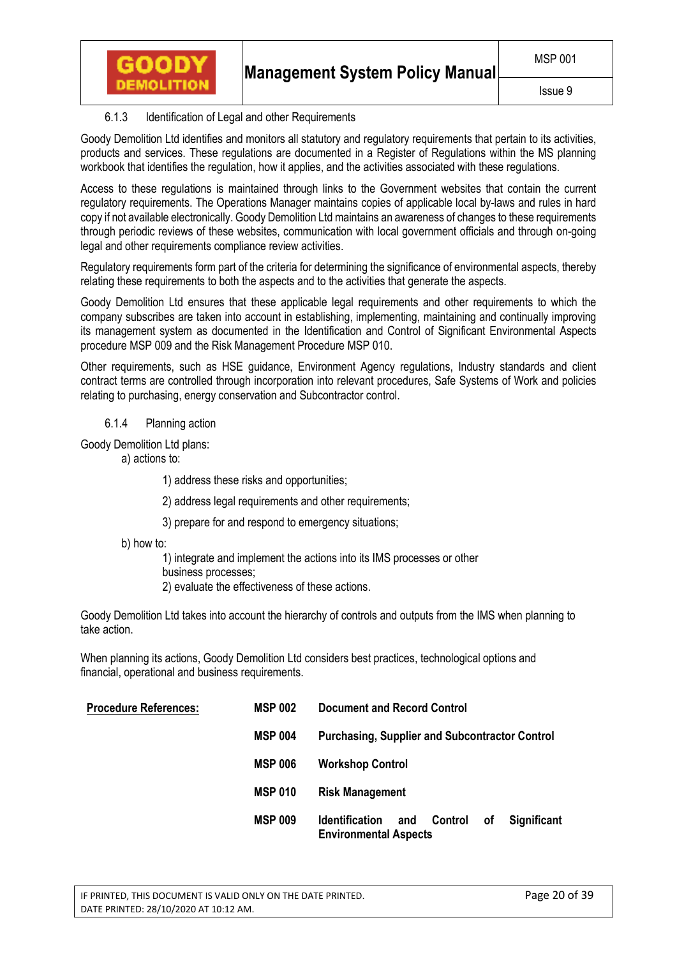# 6.1.3 Identification of Legal and other Requirements

Goody Demolition Ltd identifies and monitors all statutory and regulatory requirements that pertain to its activities, products and services. These regulations are documented in a Register of Regulations within the MS planning workbook that identifies the regulation, how it applies, and the activities associated with these regulations.

Access to these regulations is maintained through links to the Government websites that contain the current regulatory requirements. The Operations Manager maintains copies of applicable local by-laws and rules in hard copy if not available electronically. Goody Demolition Ltd maintains an awareness of changes to these requirements through periodic reviews of these websites, communication with local government officials and through on-going legal and other requirements compliance review activities.

Regulatory requirements form part of the criteria for determining the significance of environmental aspects, thereby relating these requirements to both the aspects and to the activities that generate the aspects.

Goody Demolition Ltd ensures that these applicable legal requirements and other requirements to which the company subscribes are taken into account in establishing, implementing, maintaining and continually improving its management system as documented in the Identification and Control of Significant Environmental Aspects procedure MSP 009 and the Risk Management Procedure MSP 010.

Other requirements, such as HSE guidance, Environment Agency regulations, Industry standards and client contract terms are controlled through incorporation into relevant procedures, Safe Systems of Work and policies relating to purchasing, energy conservation and Subcontractor control.

6.1.4 Planning action

**GOODY** 

Goody Demolition Ltd plans:

a) actions to:

- 1) address these risks and opportunities;
- 2) address legal requirements and other requirements;
- 3) prepare for and respond to emergency situations;
- b) how to:

1) integrate and implement the actions into its IMS processes or other

business processes;

2) evaluate the effectiveness of these actions.

Goody Demolition Ltd takes into account the hierarchy of controls and outputs from the IMS when planning to take action.

When planning its actions, Goody Demolition Ltd considers best practices, technological options and financial, operational and business requirements.

| <b>Procedure References:</b> | <b>MSP 002</b> | <b>Document and Record Control</b>                                                                         |
|------------------------------|----------------|------------------------------------------------------------------------------------------------------------|
|                              | <b>MSP 004</b> | <b>Purchasing, Supplier and Subcontractor Control</b>                                                      |
|                              | <b>MSP 006</b> | <b>Workshop Control</b>                                                                                    |
|                              | <b>MSP 010</b> | <b>Risk Management</b>                                                                                     |
|                              | <b>MSP 009</b> | <b>Control</b><br>οf<br><b>Identification</b><br><b>Significant</b><br>and<br><b>Environmental Aspects</b> |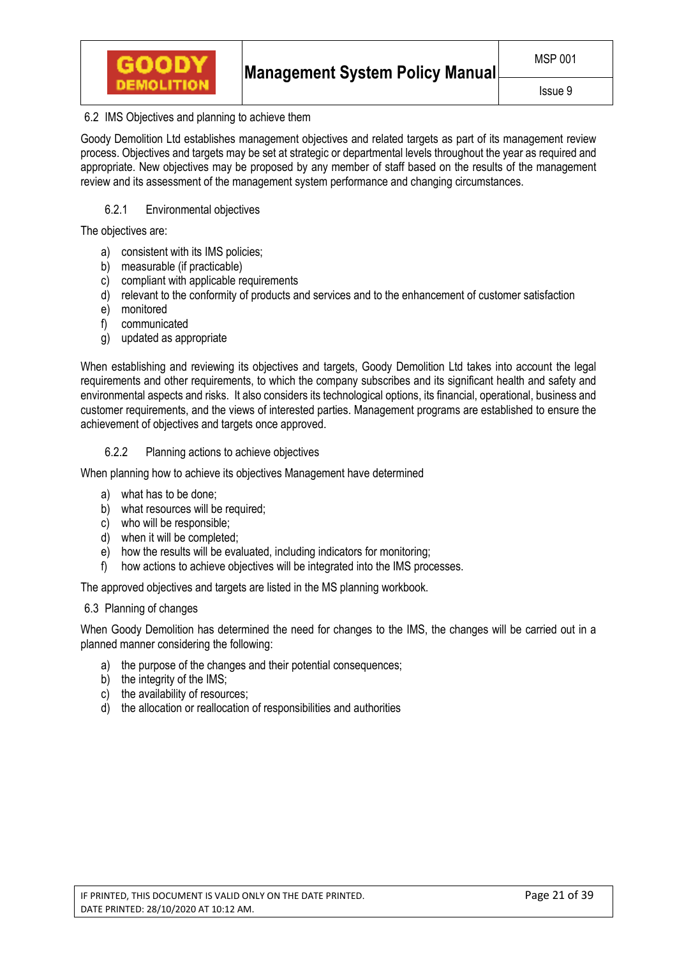

# 6.2 IMS Objectives and planning to achieve them

Goody Demolition Ltd establishes management objectives and related targets as part of its management review process. Objectives and targets may be set at strategic or departmental levels throughout the year as required and appropriate. New objectives may be proposed by any member of staff based on the results of the management review and its assessment of the management system performance and changing circumstances.

# 6.2.1 Environmental objectives

The objectives are:

- a) consistent with its IMS policies;
- b) measurable (if practicable)
- c) compliant with applicable requirements
- d) relevant to the conformity of products and services and to the enhancement of customer satisfaction
- e) monitored
- f) communicated
- g) updated as appropriate

When establishing and reviewing its objectives and targets, Goody Demolition Ltd takes into account the legal requirements and other requirements, to which the company subscribes and its significant health and safety and environmental aspects and risks. It also considers its technological options, its financial, operational, business and customer requirements, and the views of interested parties. Management programs are established to ensure the achievement of objectives and targets once approved.

# 6.2.2 Planning actions to achieve objectives

When planning how to achieve its objectives Management have determined

- a) what has to be done;
- b) what resources will be required;
- c) who will be responsible;
- d) when it will be completed;
- e) how the results will be evaluated, including indicators for monitoring;
- f) how actions to achieve objectives will be integrated into the IMS processes.

The approved objectives and targets are listed in the MS planning workbook.

## 6.3 Planning of changes

When Goody Demolition has determined the need for changes to the IMS, the changes will be carried out in a planned manner considering the following:

- a) the purpose of the changes and their potential consequences;
- b) the integrity of the IMS:
- c) the availability of resources;
- d) the allocation or reallocation of responsibilities and authorities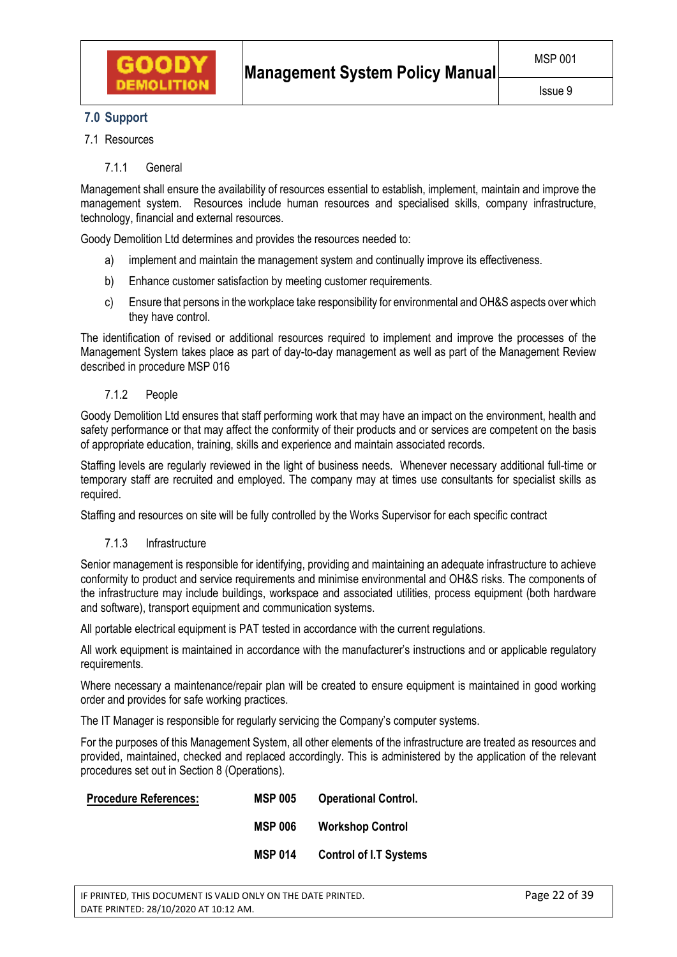## Issue 9

# **7.0 Support**

- 7.1 Resources
	- 7.1.1 General

Management shall ensure the availability of resources essential to establish, implement, maintain and improve the management system. Resources include human resources and specialised skills, company infrastructure, technology, financial and external resources.

Goody Demolition Ltd determines and provides the resources needed to:

- a) implement and maintain the management system and continually improve its effectiveness.
- b) Enhance customer satisfaction by meeting customer requirements.
- c) Ensure that persons in the workplace take responsibility for environmental and OH&S aspects over which they have control.

The identification of revised or additional resources required to implement and improve the processes of the Management System takes place as part of day-to-day management as well as part of the Management Review described in procedure MSP 016

7.1.2 People

Goody Demolition Ltd ensures that staff performing work that may have an impact on the environment, health and safety performance or that may affect the conformity of their products and or services are competent on the basis of appropriate education, training, skills and experience and maintain associated records.

Staffing levels are regularly reviewed in the light of business needs. Whenever necessary additional full-time or temporary staff are recruited and employed. The company may at times use consultants for specialist skills as required.

Staffing and resources on site will be fully controlled by the Works Supervisor for each specific contract

7.1.3 Infrastructure

Senior management is responsible for identifying, providing and maintaining an adequate infrastructure to achieve conformity to product and service requirements and minimise environmental and OH&S risks. The components of the infrastructure may include buildings, workspace and associated utilities, process equipment (both hardware and software), transport equipment and communication systems.

All portable electrical equipment is PAT tested in accordance with the current regulations.

All work equipment is maintained in accordance with the manufacturer's instructions and or applicable regulatory requirements.

Where necessary a maintenance/repair plan will be created to ensure equipment is maintained in good working order and provides for safe working practices.

The IT Manager is responsible for regularly servicing the Company's computer systems.

For the purposes of this Management System, all other elements of the infrastructure are treated as resources and provided, maintained, checked and replaced accordingly. This is administered by the application of the relevant procedures set out in Section 8 (Operations).

| <b>Procedure References:</b> | <b>MSP 005</b> | <b>Operational Control.</b>   |
|------------------------------|----------------|-------------------------------|
|                              | <b>MSP 006</b> | <b>Workshop Control</b>       |
|                              | <b>MSP 014</b> | <b>Control of I.T Systems</b> |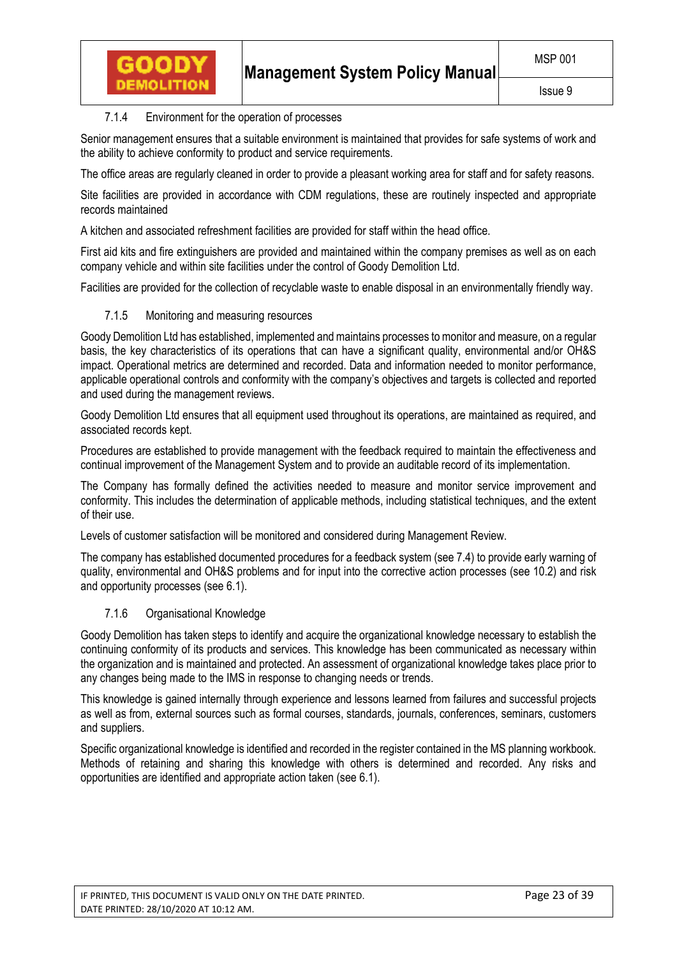# 7.1.4 Environment for the operation of processes

GOODY

Senior management ensures that a suitable environment is maintained that provides for safe systems of work and the ability to achieve conformity to product and service requirements.

The office areas are regularly cleaned in order to provide a pleasant working area for staff and for safety reasons.

Site facilities are provided in accordance with CDM regulations, these are routinely inspected and appropriate records maintained

A kitchen and associated refreshment facilities are provided for staff within the head office.

First aid kits and fire extinguishers are provided and maintained within the company premises as well as on each company vehicle and within site facilities under the control of Goody Demolition Ltd.

Facilities are provided for the collection of recyclable waste to enable disposal in an environmentally friendly way.

# 7.1.5 Monitoring and measuring resources

Goody Demolition Ltd has established, implemented and maintains processes to monitor and measure, on a regular basis, the key characteristics of its operations that can have a significant quality, environmental and/or OH&S impact. Operational metrics are determined and recorded. Data and information needed to monitor performance, applicable operational controls and conformity with the company's objectives and targets is collected and reported and used during the management reviews.

Goody Demolition Ltd ensures that all equipment used throughout its operations, are maintained as required, and associated records kept.

Procedures are established to provide management with the feedback required to maintain the effectiveness and continual improvement of the Management System and to provide an auditable record of its implementation.

The Company has formally defined the activities needed to measure and monitor service improvement and conformity. This includes the determination of applicable methods, including statistical techniques, and the extent of their use.

Levels of customer satisfaction will be monitored and considered during Management Review.

The company has established documented procedures for a feedback system (see 7.4) to provide early warning of quality, environmental and OH&S problems and for input into the corrective action processes (see 10.2) and risk and opportunity processes (see 6.1).

# 7.1.6 Organisational Knowledge

Goody Demolition has taken steps to identify and acquire the organizational knowledge necessary to establish the continuing conformity of its products and services. This knowledge has been communicated as necessary within the organization and is maintained and protected. An assessment of organizational knowledge takes place prior to any changes being made to the IMS in response to changing needs or trends.

This knowledge is gained internally through experience and lessons learned from failures and successful projects as well as from, external sources such as formal courses, standards, journals, conferences, seminars, customers and suppliers.

Specific organizational knowledge is identified and recorded in the register contained in the MS planning workbook. Methods of retaining and sharing this knowledge with others is determined and recorded. Any risks and opportunities are identified and appropriate action taken (see 6.1).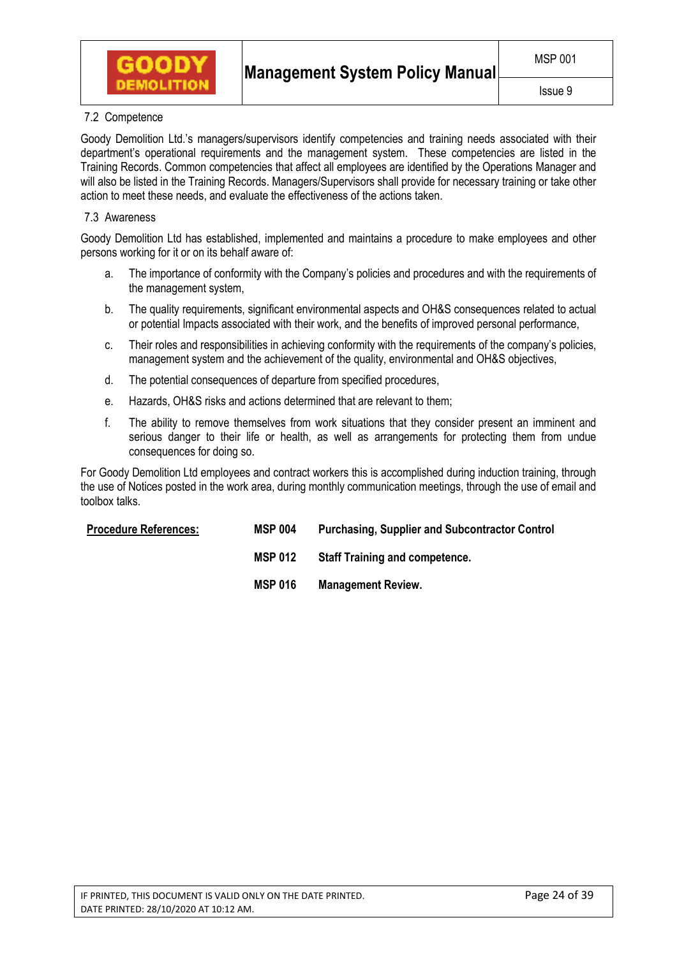

# 7.2 Competence

Goody Demolition Ltd.'s managers/supervisors identify competencies and training needs associated with their department's operational requirements and the management system. These competencies are listed in the Training Records. Common competencies that affect all employees are identified by the Operations Manager and will also be listed in the Training Records. Managers/Supervisors shall provide for necessary training or take other action to meet these needs, and evaluate the effectiveness of the actions taken.

# 7.3 Awareness

Goody Demolition Ltd has established, implemented and maintains a procedure to make employees and other persons working for it or on its behalf aware of:

- a. The importance of conformity with the Company's policies and procedures and with the requirements of the management system,
- b. The quality requirements, significant environmental aspects and OH&S consequences related to actual or potential Impacts associated with their work, and the benefits of improved personal performance,
- c. Their roles and responsibilities in achieving conformity with the requirements of the company's policies, management system and the achievement of the quality, environmental and OH&S objectives,
- d. The potential consequences of departure from specified procedures,
- e. Hazards, OH&S risks and actions determined that are relevant to them;
- f. The ability to remove themselves from work situations that they consider present an imminent and serious danger to their life or health, as well as arrangements for protecting them from undue consequences for doing so.

For Goody Demolition Ltd employees and contract workers this is accomplished during induction training, through the use of Notices posted in the work area, during monthly communication meetings, through the use of email and toolbox talks.

| <b>Procedure References:</b> | <b>MSP 004</b> | <b>Purchasing, Supplier and Subcontractor Control</b> |
|------------------------------|----------------|-------------------------------------------------------|
|                              | <b>MSP 012</b> | <b>Staff Training and competence.</b>                 |
|                              | <b>MSP 016</b> | <b>Management Review.</b>                             |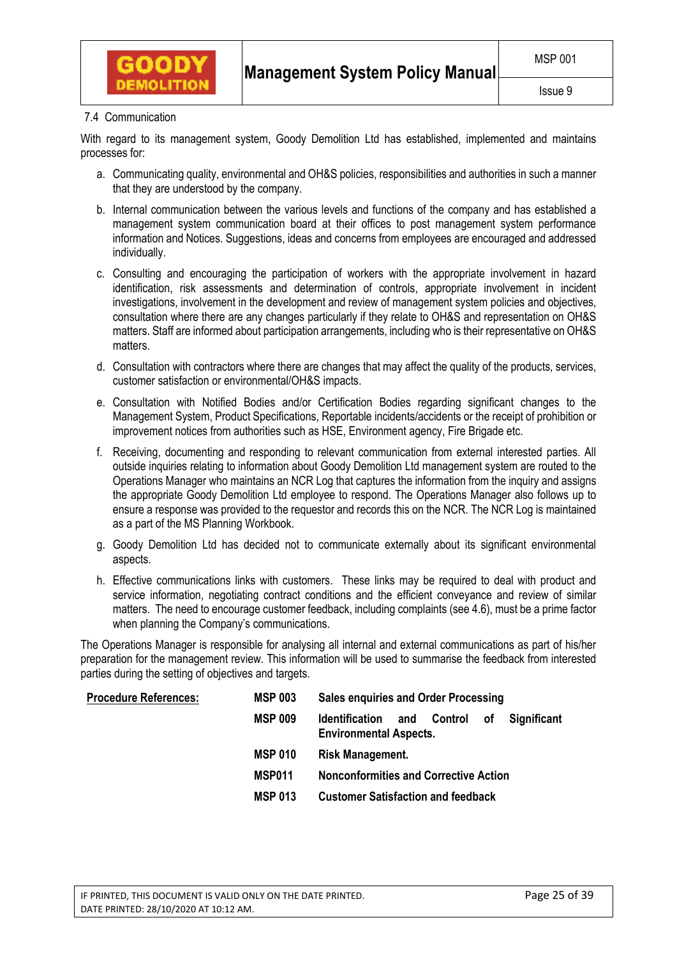

# 7.4 Communication

With regard to its management system, Goody Demolition Ltd has established, implemented and maintains processes for:

- a. Communicating quality, environmental and OH&S policies, responsibilities and authorities in such a manner that they are understood by the company.
- b. Internal communication between the various levels and functions of the company and has established a management system communication board at their offices to post management system performance information and Notices. Suggestions, ideas and concerns from employees are encouraged and addressed individually.
- c. Consulting and encouraging the participation of workers with the appropriate involvement in hazard identification, risk assessments and determination of controls, appropriate involvement in incident investigations, involvement in the development and review of management system policies and objectives, consultation where there are any changes particularly if they relate to OH&S and representation on OH&S matters. Staff are informed about participation arrangements, including who is their representative on OH&S matters.
- d. Consultation with contractors where there are changes that may affect the quality of the products, services, customer satisfaction or environmental/OH&S impacts.
- e. Consultation with Notified Bodies and/or Certification Bodies regarding significant changes to the Management System, Product Specifications, Reportable incidents/accidents or the receipt of prohibition or improvement notices from authorities such as HSE, Environment agency, Fire Brigade etc.
- f. Receiving, documenting and responding to relevant communication from external interested parties. All outside inquiries relating to information about Goody Demolition Ltd management system are routed to the Operations Manager who maintains an NCR Log that captures the information from the inquiry and assigns the appropriate Goody Demolition Ltd employee to respond. The Operations Manager also follows up to ensure a response was provided to the requestor and records this on the NCR. The NCR Log is maintained as a part of the MS Planning Workbook.
- g. Goody Demolition Ltd has decided not to communicate externally about its significant environmental aspects.
- h. Effective communications links with customers. These links may be required to deal with product and service information, negotiating contract conditions and the efficient conveyance and review of similar matters. The need to encourage customer feedback, including complaints (see 4.6), must be a prime factor when planning the Company's communications.

The Operations Manager is responsible for analysing all internal and external communications as part of his/her preparation for the management review. This information will be used to summarise the feedback from interested parties during the setting of objectives and targets.

| <b>Procedure References:</b> | <b>MSP 003</b> | <b>Sales enquiries and Order Processing</b>                                                                                |
|------------------------------|----------------|----------------------------------------------------------------------------------------------------------------------------|
|                              | <b>MSP 009</b> | $\overline{\phantom{a}}$ of<br>and Control<br><b>Significant</b><br><b>Identification</b><br><b>Environmental Aspects.</b> |
|                              | <b>MSP 010</b> | Risk Management.                                                                                                           |
|                              | MSP011         | <b>Nonconformities and Corrective Action</b>                                                                               |
|                              | <b>MSP 013</b> | <b>Customer Satisfaction and feedback</b>                                                                                  |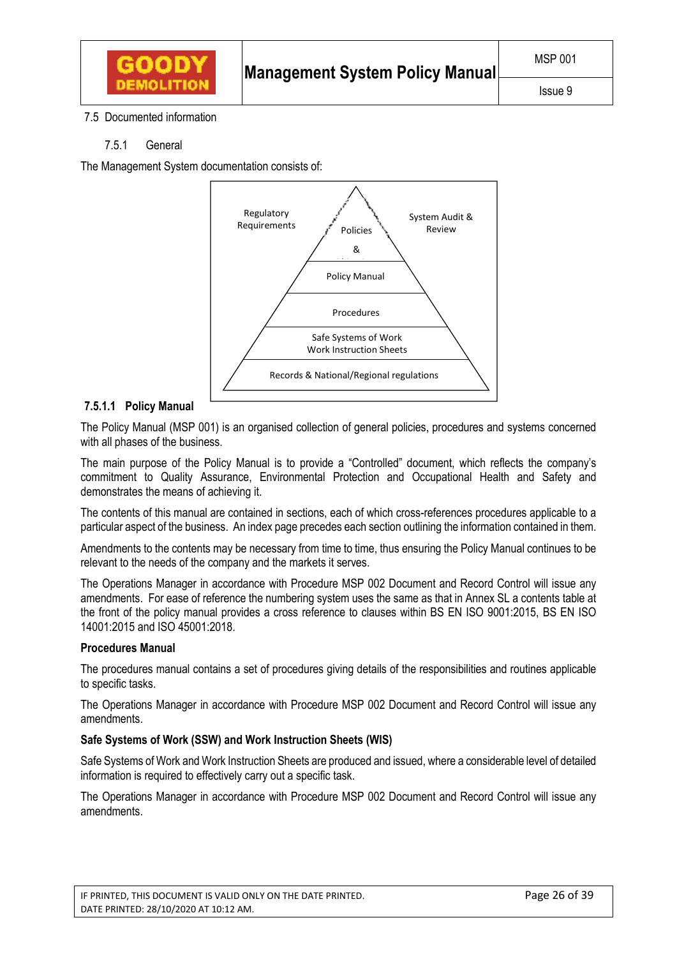

# 7.5 Documented information

# 7.5.1 General

The Management System documentation consists of:



# **7.5.1.1 Policy Manual**

The Policy Manual (MSP 001) is an organised collection of general policies, procedures and systems concerned with all phases of the business.

The main purpose of the Policy Manual is to provide a "Controlled" document, which reflects the company's commitment to Quality Assurance, Environmental Protection and Occupational Health and Safety and demonstrates the means of achieving it.

The contents of this manual are contained in sections, each of which cross-references procedures applicable to a particular aspect of the business. An index page precedes each section outlining the information contained in them.

Amendments to the contents may be necessary from time to time, thus ensuring the Policy Manual continues to be relevant to the needs of the company and the markets it serves.

The Operations Manager in accordance with Procedure MSP 002 Document and Record Control will issue any amendments. For ease of reference the numbering system uses the same as that in Annex SL a contents table at the front of the policy manual provides a cross reference to clauses within BS EN ISO 9001:2015, BS EN ISO 14001:2015 and ISO 45001:2018.

## **Procedures Manual**

The procedures manual contains a set of procedures giving details of the responsibilities and routines applicable to specific tasks.

The Operations Manager in accordance with Procedure MSP 002 Document and Record Control will issue any amendments.

## **Safe Systems of Work (SSW) and Work Instruction Sheets (WIS)**

Safe Systems of Work and Work Instruction Sheets are produced and issued, where a considerable level of detailed information is required to effectively carry out a specific task.

The Operations Manager in accordance with Procedure MSP 002 Document and Record Control will issue any amendments.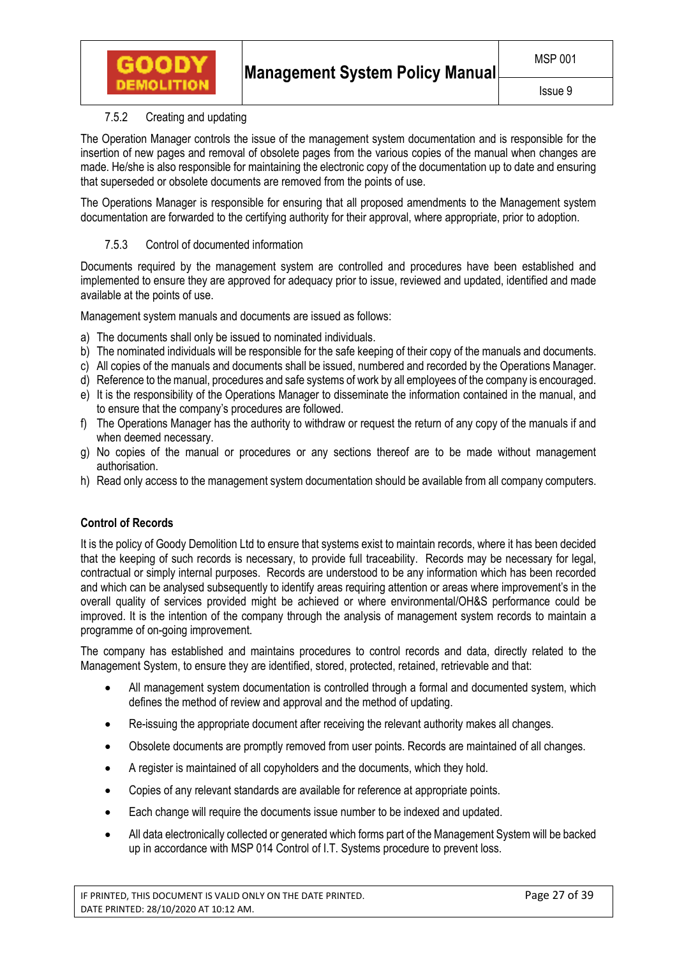# 7.5.2 Creating and updating

**GOODY DEMOLITIO** 

The Operation Manager controls the issue of the management system documentation and is responsible for the insertion of new pages and removal of obsolete pages from the various copies of the manual when changes are made. He/she is also responsible for maintaining the electronic copy of the documentation up to date and ensuring that superseded or obsolete documents are removed from the points of use.

The Operations Manager is responsible for ensuring that all proposed amendments to the Management system documentation are forwarded to the certifying authority for their approval, where appropriate, prior to adoption.

# 7.5.3 Control of documented information

Documents required by the management system are controlled and procedures have been established and implemented to ensure they are approved for adequacy prior to issue, reviewed and updated, identified and made available at the points of use.

Management system manuals and documents are issued as follows:

- a) The documents shall only be issued to nominated individuals.
- b) The nominated individuals will be responsible for the safe keeping of their copy of the manuals and documents.
- c) All copies of the manuals and documents shall be issued, numbered and recorded by the Operations Manager.
- d) Reference to the manual, procedures and safe systems of work by all employees of the company is encouraged.
- e) It is the responsibility of the Operations Manager to disseminate the information contained in the manual, and to ensure that the company's procedures are followed.
- f) The Operations Manager has the authority to withdraw or request the return of any copy of the manuals if and when deemed necessary.
- g) No copies of the manual or procedures or any sections thereof are to be made without management authorisation.
- h) Read only access to the management system documentation should be available from all company computers.

# **Control of Records**

It is the policy of Goody Demolition Ltd to ensure that systems exist to maintain records, where it has been decided that the keeping of such records is necessary, to provide full traceability. Records may be necessary for legal, contractual or simply internal purposes. Records are understood to be any information which has been recorded and which can be analysed subsequently to identify areas requiring attention or areas where improvement's in the overall quality of services provided might be achieved or where environmental/OH&S performance could be improved. It is the intention of the company through the analysis of management system records to maintain a programme of on-going improvement.

The company has established and maintains procedures to control records and data, directly related to the Management System, to ensure they are identified, stored, protected, retained, retrievable and that:

- All management system documentation is controlled through a formal and documented system, which defines the method of review and approval and the method of updating.
- Re-issuing the appropriate document after receiving the relevant authority makes all changes.
- Obsolete documents are promptly removed from user points. Records are maintained of all changes.
- A register is maintained of all copyholders and the documents, which they hold.
- Copies of any relevant standards are available for reference at appropriate points.
- Each change will require the documents issue number to be indexed and updated.
- All data electronically collected or generated which forms part of the Management System will be backed up in accordance with MSP 014 Control of I.T. Systems procedure to prevent loss.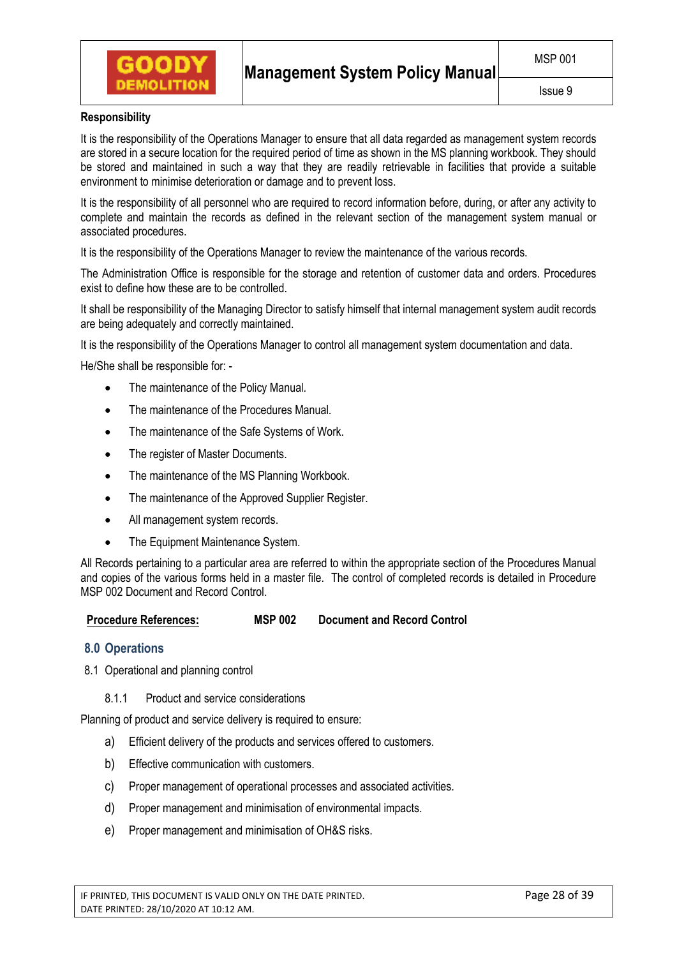

# **Responsibility**

It is the responsibility of the Operations Manager to ensure that all data regarded as management system records are stored in a secure location for the required period of time as shown in the MS planning workbook. They should be stored and maintained in such a way that they are readily retrievable in facilities that provide a suitable environment to minimise deterioration or damage and to prevent loss.

It is the responsibility of all personnel who are required to record information before, during, or after any activity to complete and maintain the records as defined in the relevant section of the management system manual or associated procedures.

It is the responsibility of the Operations Manager to review the maintenance of the various records.

The Administration Office is responsible for the storage and retention of customer data and orders. Procedures exist to define how these are to be controlled.

It shall be responsibility of the Managing Director to satisfy himself that internal management system audit records are being adequately and correctly maintained.

It is the responsibility of the Operations Manager to control all management system documentation and data.

He/She shall be responsible for: -

- The maintenance of the Policy Manual.
- The maintenance of the Procedures Manual.
- The maintenance of the Safe Systems of Work.
- The register of Master Documents.
- The maintenance of the MS Planning Workbook.
- The maintenance of the Approved Supplier Register.
- All management system records.
- The Equipment Maintenance System.

All Records pertaining to a particular area are referred to within the appropriate section of the Procedures Manual and copies of the various forms held in a master file. The control of completed records is detailed in Procedure MSP 002 Document and Record Control.

**Procedure References: MSP 002 Document and Record Control** 

## **8.0 Operations**

- 8.1 Operational and planning control
	- 8.1.1 Product and service considerations

Planning of product and service delivery is required to ensure:

- a) Efficient delivery of the products and services offered to customers.
- b) Effective communication with customers.
- c) Proper management of operational processes and associated activities.
- d) Proper management and minimisation of environmental impacts.
- e) Proper management and minimisation of OH&S risks.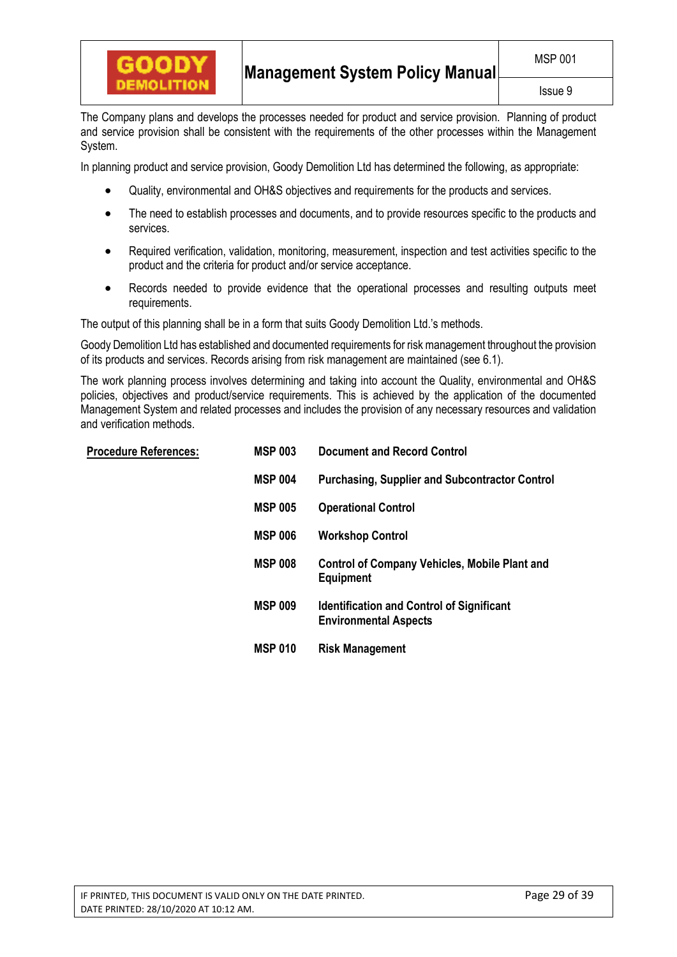

The Company plans and develops the processes needed for product and service provision. Planning of product and service provision shall be consistent with the requirements of the other processes within the Management System.

In planning product and service provision, Goody Demolition Ltd has determined the following, as appropriate:

- Quality, environmental and OH&S objectives and requirements for the products and services.
- The need to establish processes and documents, and to provide resources specific to the products and services.
- Required verification, validation, monitoring, measurement, inspection and test activities specific to the product and the criteria for product and/or service acceptance.
- Records needed to provide evidence that the operational processes and resulting outputs meet requirements.

The output of this planning shall be in a form that suits Goody Demolition Ltd.'s methods.

Goody Demolition Ltd has established and documented requirements for risk management throughout the provision of its products and services. Records arising from risk management are maintained (see 6.1).

The work planning process involves determining and taking into account the Quality, environmental and OH&S policies, objectives and product/service requirements. This is achieved by the application of the documented Management System and related processes and includes the provision of any necessary resources and validation and verification methods.

| <b>Procedure References:</b> | <b>MSP 003</b> | <b>Document and Record Control</b>                                               |
|------------------------------|----------------|----------------------------------------------------------------------------------|
|                              | <b>MSP 004</b> | <b>Purchasing, Supplier and Subcontractor Control</b>                            |
|                              | <b>MSP 005</b> | <b>Operational Control</b>                                                       |
|                              | <b>MSP 006</b> | <b>Workshop Control</b>                                                          |
|                              | <b>MSP 008</b> | <b>Control of Company Vehicles, Mobile Plant and</b><br><b>Equipment</b>         |
|                              | <b>MSP 009</b> | <b>Identification and Control of Significant</b><br><b>Environmental Aspects</b> |
|                              | <b>MSP 010</b> | <b>Risk Management</b>                                                           |
|                              |                |                                                                                  |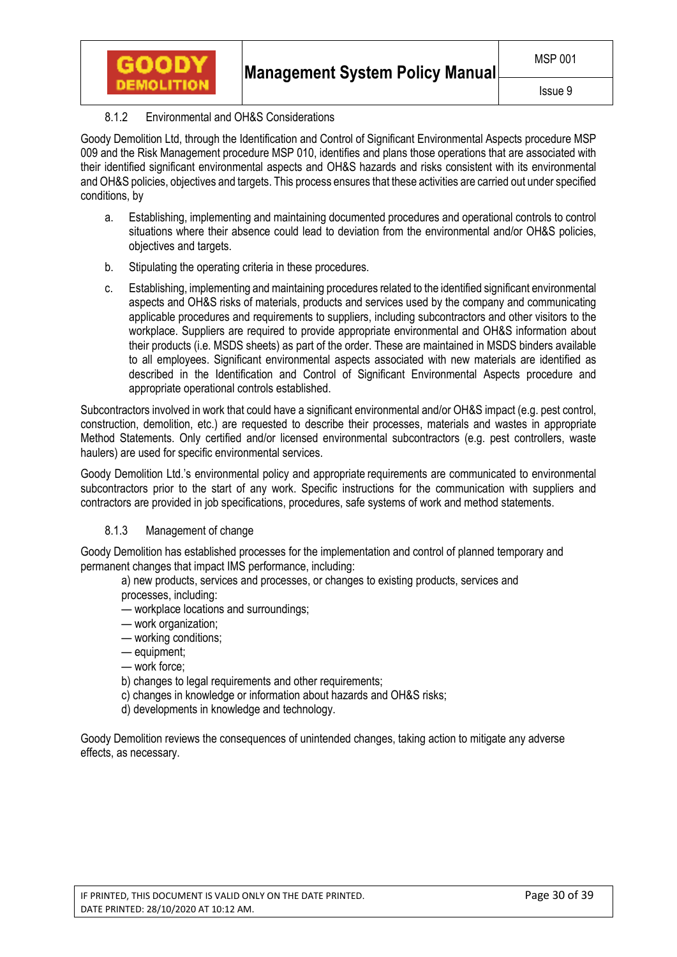# 8.1.2 Environmental and OH&S Considerations

**GOODY** 

Goody Demolition Ltd, through the Identification and Control of Significant Environmental Aspects procedure MSP 009 and the Risk Management procedure MSP 010, identifies and plans those operations that are associated with their identified significant environmental aspects and OH&S hazards and risks consistent with its environmental and OH&S policies, objectives and targets. This process ensures that these activities are carried out under specified conditions, by

- a. Establishing, implementing and maintaining documented procedures and operational controls to control situations where their absence could lead to deviation from the environmental and/or OH&S policies, objectives and targets.
- b. Stipulating the operating criteria in these procedures.
- c. Establishing, implementing and maintaining procedures related to the identified significant environmental aspects and OH&S risks of materials, products and services used by the company and communicating applicable procedures and requirements to suppliers, including subcontractors and other visitors to the workplace. Suppliers are required to provide appropriate environmental and OH&S information about their products (i.e. MSDS sheets) as part of the order. These are maintained in MSDS binders available to all employees. Significant environmental aspects associated with new materials are identified as described in the Identification and Control of Significant Environmental Aspects procedure and appropriate operational controls established.

Subcontractors involved in work that could have a significant environmental and/or OH&S impact (e.g. pest control, construction, demolition, etc.) are requested to describe their processes, materials and wastes in appropriate Method Statements. Only certified and/or licensed environmental subcontractors (e.g. pest controllers, waste haulers) are used for specific environmental services.

Goody Demolition Ltd.'s environmental policy and appropriate requirements are communicated to environmental subcontractors prior to the start of any work. Specific instructions for the communication with suppliers and contractors are provided in job specifications, procedures, safe systems of work and method statements.

# 8.1.3 Management of change

Goody Demolition has established processes for the implementation and control of planned temporary and permanent changes that impact IMS performance, including:

- a) new products, services and processes, or changes to existing products, services and
- processes, including:
- workplace locations and surroundings;
- work organization;
- working conditions;
- equipment;
- work force;
- b) changes to legal requirements and other requirements;
- c) changes in knowledge or information about hazards and OH&S risks;
- d) developments in knowledge and technology.

Goody Demolition reviews the consequences of unintended changes, taking action to mitigate any adverse effects, as necessary.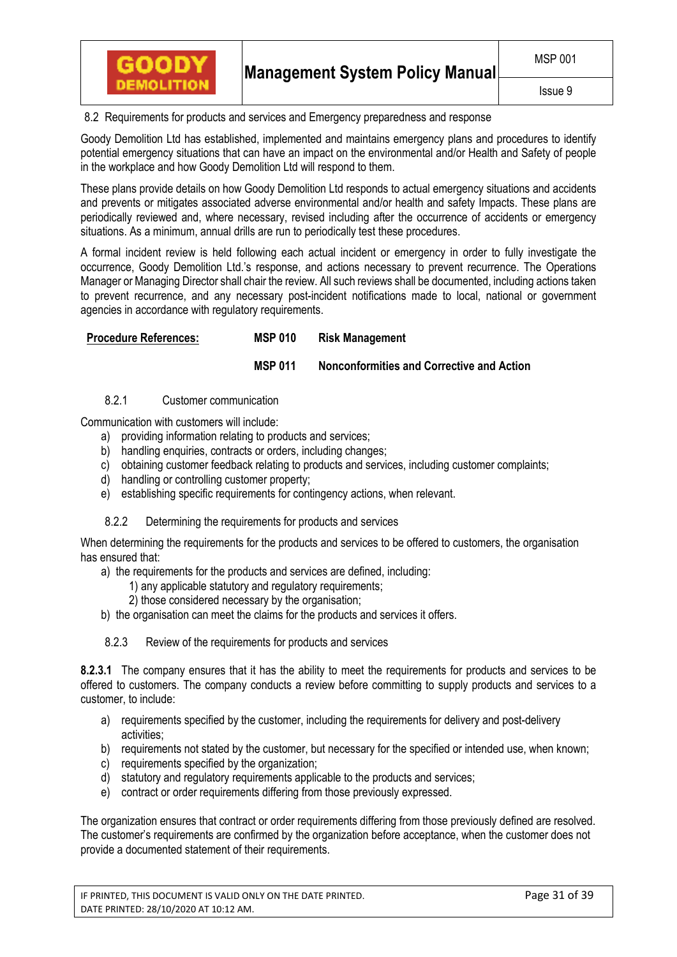

8.2 Requirements for products and services and Emergency preparedness and response

Goody Demolition Ltd has established, implemented and maintains emergency plans and procedures to identify potential emergency situations that can have an impact on the environmental and/or Health and Safety of people in the workplace and how Goody Demolition Ltd will respond to them.

These plans provide details on how Goody Demolition Ltd responds to actual emergency situations and accidents and prevents or mitigates associated adverse environmental and/or health and safety Impacts. These plans are periodically reviewed and, where necessary, revised including after the occurrence of accidents or emergency situations. As a minimum, annual drills are run to periodically test these procedures.

A formal incident review is held following each actual incident or emergency in order to fully investigate the occurrence, Goody Demolition Ltd.'s response, and actions necessary to prevent recurrence. The Operations Manager or Managing Director shall chair the review. All such reviews shall be documented, including actions taken to prevent recurrence, and any necessary post-incident notifications made to local, national or government agencies in accordance with regulatory requirements.

## **Procedure References: MSP 010 Risk Management**

# **MSP 011 Nonconformities and Corrective and Action**

# 8.2.1 Customer communication

Communication with customers will include:

- a) providing information relating to products and services;
- b) handling enquiries, contracts or orders, including changes;
- c) obtaining customer feedback relating to products and services, including customer complaints;
- d) handling or controlling customer property;
- e) establishing specific requirements for contingency actions, when relevant.

## 8.2.2 Determining the requirements for products and services

When determining the requirements for the products and services to be offered to customers, the organisation has ensured that:

- a) the requirements for the products and services are defined, including:
	- 1) any applicable statutory and regulatory requirements;
	- 2) those considered necessary by the organisation;
- b) the organisation can meet the claims for the products and services it offers.
- 8.2.3 Review of the requirements for products and services

**8.2.3.1** The company ensures that it has the ability to meet the requirements for products and services to be offered to customers. The company conducts a review before committing to supply products and services to a customer, to include:

- a) requirements specified by the customer, including the requirements for delivery and post-delivery activities;
- b) requirements not stated by the customer, but necessary for the specified or intended use, when known;
- c) requirements specified by the organization;
- d) statutory and regulatory requirements applicable to the products and services;
- e) contract or order requirements differing from those previously expressed.

The organization ensures that contract or order requirements differing from those previously defined are resolved. The customer's requirements are confirmed by the organization before acceptance, when the customer does not provide a documented statement of their requirements.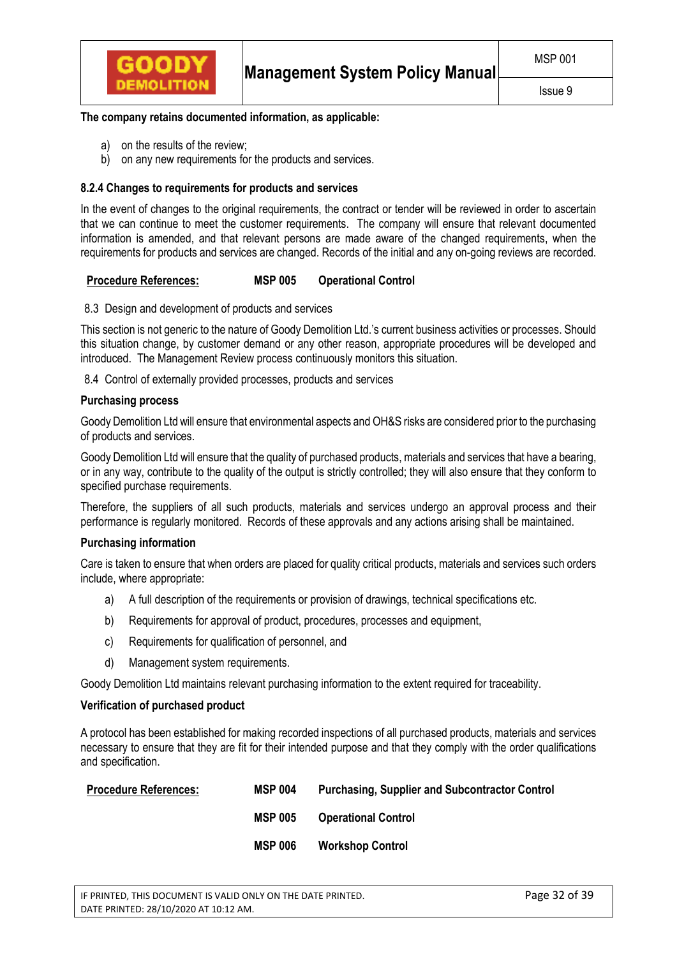

## **The company retains documented information, as applicable:**

- a) on the results of the review;
- b) on any new requirements for the products and services.

## **8.2.4 Changes to requirements for products and services**

In the event of changes to the original requirements, the contract or tender will be reviewed in order to ascertain that we can continue to meet the customer requirements. The company will ensure that relevant documented information is amended, and that relevant persons are made aware of the changed requirements, when the requirements for products and services are changed. Records of the initial and any on-going reviews are recorded.

## **Procedure References: MSP 005 Operational Control**

8.3 Design and development of products and services

This section is not generic to the nature of Goody Demolition Ltd.'s current business activities or processes. Should this situation change, by customer demand or any other reason, appropriate procedures will be developed and introduced. The Management Review process continuously monitors this situation.

8.4 Control of externally provided processes, products and services

#### **Purchasing process**

Goody Demolition Ltd will ensure that environmental aspects and OH&S risks are considered prior to the purchasing of products and services.

Goody Demolition Ltd will ensure that the quality of purchased products, materials and services that have a bearing, or in any way, contribute to the quality of the output is strictly controlled; they will also ensure that they conform to specified purchase requirements.

Therefore, the suppliers of all such products, materials and services undergo an approval process and their performance is regularly monitored. Records of these approvals and any actions arising shall be maintained.

## **Purchasing information**

Care is taken to ensure that when orders are placed for quality critical products, materials and services such orders include, where appropriate:

- a) A full description of the requirements or provision of drawings, technical specifications etc.
- b) Requirements for approval of product, procedures, processes and equipment,
- c) Requirements for qualification of personnel, and
- d) Management system requirements.

Goody Demolition Ltd maintains relevant purchasing information to the extent required for traceability.

## **Verification of purchased product**

A protocol has been established for making recorded inspections of all purchased products, materials and services necessary to ensure that they are fit for their intended purpose and that they comply with the order qualifications and specification.

| <b>Procedure References:</b> | <b>MSP 004</b> | <b>Purchasing, Supplier and Subcontractor Control</b> |
|------------------------------|----------------|-------------------------------------------------------|
|                              | <b>MSP 005</b> | <b>Operational Control</b>                            |
|                              | <b>MSP 006</b> | <b>Workshop Control</b>                               |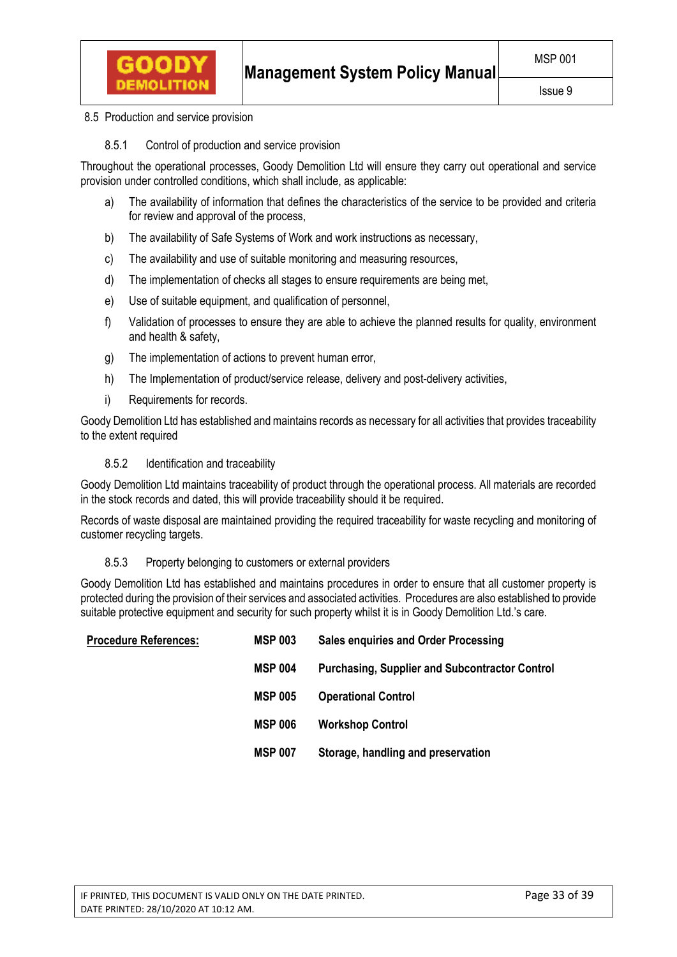

8.5 Production and service provision

8.5.1 Control of production and service provision

Throughout the operational processes, Goody Demolition Ltd will ensure they carry out operational and service provision under controlled conditions, which shall include, as applicable:

- a) The availability of information that defines the characteristics of the service to be provided and criteria for review and approval of the process,
- b) The availability of Safe Systems of Work and work instructions as necessary,
- c) The availability and use of suitable monitoring and measuring resources,
- d) The implementation of checks all stages to ensure requirements are being met,
- e) Use of suitable equipment, and qualification of personnel,
- f) Validation of processes to ensure they are able to achieve the planned results for quality, environment and health & safety,
- g) The implementation of actions to prevent human error,
- h) The Implementation of product/service release, delivery and post-delivery activities,
- i) Requirements for records.

Goody Demolition Ltd has established and maintains records as necessary for all activities that provides traceability to the extent required

## 8.5.2 Identification and traceability

Goody Demolition Ltd maintains traceability of product through the operational process. All materials are recorded in the stock records and dated, this will provide traceability should it be required.

Records of waste disposal are maintained providing the required traceability for waste recycling and monitoring of customer recycling targets.

## 8.5.3 Property belonging to customers or external providers

Goody Demolition Ltd has established and maintains procedures in order to ensure that all customer property is protected during the provision of their services and associated activities. Procedures are also established to provide suitable protective equipment and security for such property whilst it is in Goody Demolition Ltd.'s care.

| <b>Procedure References:</b> | <b>MSP 003</b> | <b>Sales enquiries and Order Processing</b>           |
|------------------------------|----------------|-------------------------------------------------------|
|                              | <b>MSP 004</b> | <b>Purchasing, Supplier and Subcontractor Control</b> |
|                              | <b>MSP 005</b> | <b>Operational Control</b>                            |
|                              | <b>MSP 006</b> | <b>Workshop Control</b>                               |
|                              | <b>MSP 007</b> | Storage, handling and preservation                    |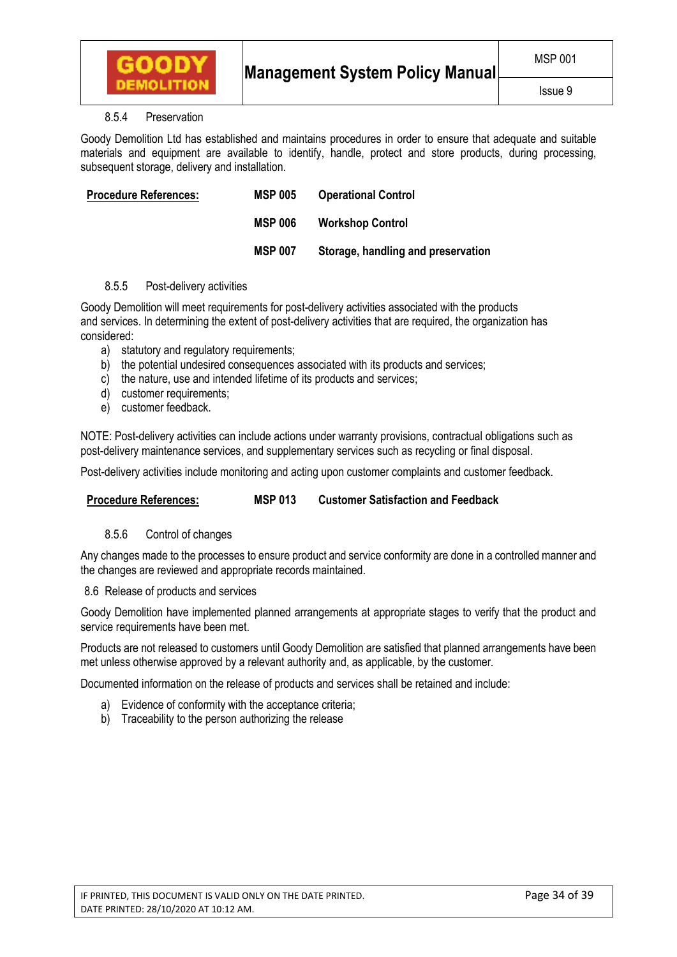

## 8.5.4 Preservation

Goody Demolition Ltd has established and maintains procedures in order to ensure that adequate and suitable materials and equipment are available to identify, handle, protect and store products, during processing, subsequent storage, delivery and installation.

| <b>Procedure References:</b> | <b>MSP 005</b> | <b>Operational Control</b>         |
|------------------------------|----------------|------------------------------------|
|                              | <b>MSP 006</b> | <b>Workshop Control</b>            |
|                              | <b>MSP 007</b> | Storage, handling and preservation |

# 8.5.5 Post-delivery activities

Goody Demolition will meet requirements for post-delivery activities associated with the products and services. In determining the extent of post-delivery activities that are required, the organization has considered:

- a) statutory and regulatory requirements;
- b) the potential undesired consequences associated with its products and services;
- c) the nature, use and intended lifetime of its products and services;
- d) customer requirements;
- e) customer feedback.

NOTE: Post-delivery activities can include actions under warranty provisions, contractual obligations such as post-delivery maintenance services, and supplementary services such as recycling or final disposal.

Post-delivery activities include monitoring and acting upon customer complaints and customer feedback.

## **Procedure References: MSP 013 Customer Satisfaction and Feedback**

## 8.5.6 Control of changes

Any changes made to the processes to ensure product and service conformity are done in a controlled manner and the changes are reviewed and appropriate records maintained.

## 8.6 Release of products and services

Goody Demolition have implemented planned arrangements at appropriate stages to verify that the product and service requirements have been met.

Products are not released to customers until Goody Demolition are satisfied that planned arrangements have been met unless otherwise approved by a relevant authority and, as applicable, by the customer.

Documented information on the release of products and services shall be retained and include:

- a) Evidence of conformity with the acceptance criteria;
- b) Traceability to the person authorizing the release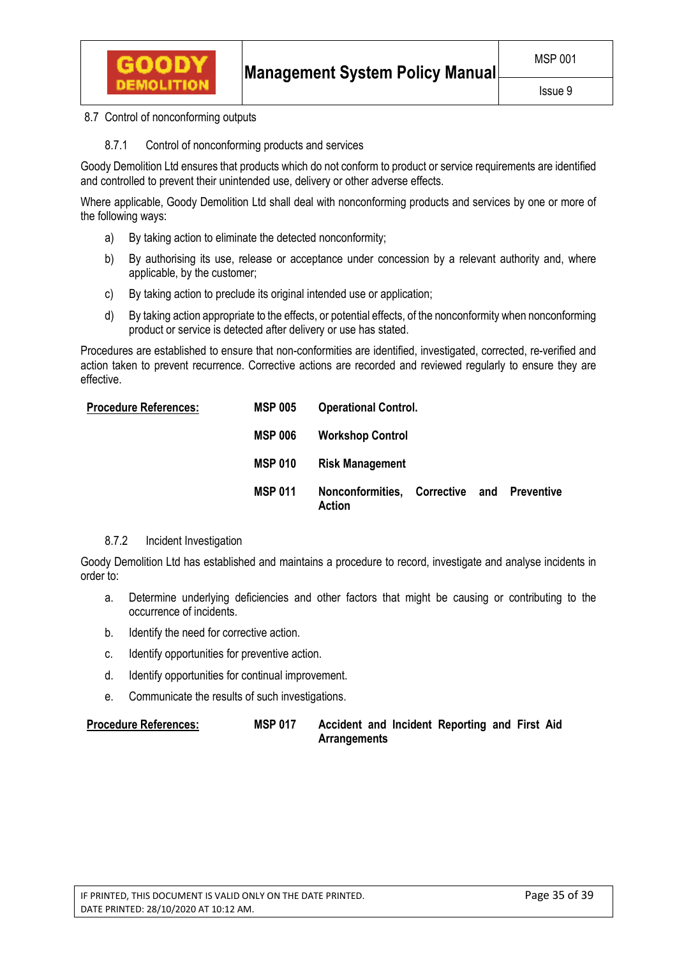

8.7 Control of nonconforming outputs

8.7.1 Control of nonconforming products and services

Goody Demolition Ltd ensures that products which do not conform to product or service requirements are identified and controlled to prevent their unintended use, delivery or other adverse effects.

Where applicable, Goody Demolition Ltd shall deal with nonconforming products and services by one or more of the following ways:

- a) By taking action to eliminate the detected nonconformity;
- b) By authorising its use, release or acceptance under concession by a relevant authority and, where applicable, by the customer;
- c) By taking action to preclude its original intended use or application;
- d) By taking action appropriate to the effects, or potential effects, of the nonconformity when nonconforming product or service is detected after delivery or use has stated.

Procedures are established to ensure that non-conformities are identified, investigated, corrected, re-verified and action taken to prevent recurrence. Corrective actions are recorded and reviewed regularly to ensure they are effective.

| <b>Procedure References:</b> | <b>MSP 005</b> | <b>Operational Control.</b>                          |  |  |  |  |
|------------------------------|----------------|------------------------------------------------------|--|--|--|--|
|                              | <b>MSP 006</b> | <b>Workshop Control</b>                              |  |  |  |  |
|                              | <b>MSP 010</b> | <b>Risk Management</b>                               |  |  |  |  |
|                              | <b>MSP 011</b> | Nonconformities, Corrective and Preventive<br>Action |  |  |  |  |

# 8.7.2 Incident Investigation

Goody Demolition Ltd has established and maintains a procedure to record, investigate and analyse incidents in order to:

- a. Determine underlying deficiencies and other factors that might be causing or contributing to the occurrence of incidents.
- b. Identify the need for corrective action.
- c. Identify opportunities for preventive action.
- d. Identify opportunities for continual improvement.
- e. Communicate the results of such investigations.

**Procedure References: MSP 017 Accident and Incident Reporting and First Aid Arrangements**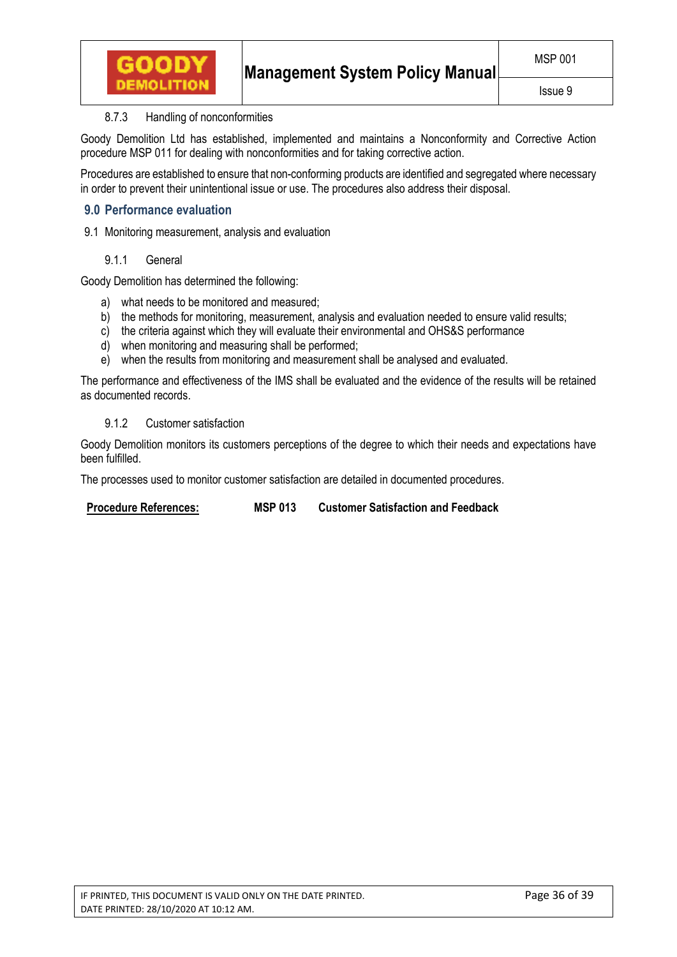

# 8.7.3 Handling of nonconformities

Goody Demolition Ltd has established, implemented and maintains a Nonconformity and Corrective Action procedure MSP 011 for dealing with nonconformities and for taking corrective action.

Procedures are established to ensure that non-conforming products are identified and segregated where necessary in order to prevent their unintentional issue or use. The procedures also address their disposal.

# **9.0 Performance evaluation**

9.1 Monitoring measurement, analysis and evaluation

## 9.1.1 General

Goody Demolition has determined the following:

- a) what needs to be monitored and measured;
- b) the methods for monitoring, measurement, analysis and evaluation needed to ensure valid results;
- c) the criteria against which they will evaluate their environmental and OHS&S performance
- d) when monitoring and measuring shall be performed;
- e) when the results from monitoring and measurement shall be analysed and evaluated.

The performance and effectiveness of the IMS shall be evaluated and the evidence of the results will be retained as documented records.

## 9.1.2 Customer satisfaction

Goody Demolition monitors its customers perceptions of the degree to which their needs and expectations have been fulfilled.

The processes used to monitor customer satisfaction are detailed in documented procedures.

**Procedure References: MSP 013 Customer Satisfaction and Feedback**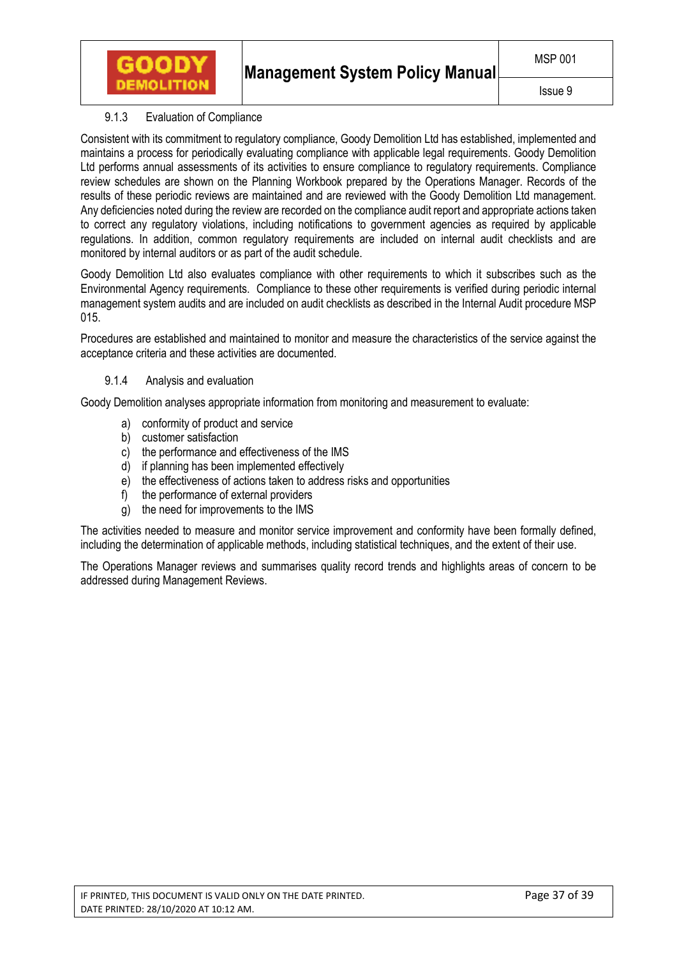

# 9.1.3 Evaluation of Compliance

GOODY

Consistent with its commitment to regulatory compliance, Goody Demolition Ltd has established, implemented and maintains a process for periodically evaluating compliance with applicable legal requirements. Goody Demolition Ltd performs annual assessments of its activities to ensure compliance to regulatory requirements. Compliance review schedules are shown on the Planning Workbook prepared by the Operations Manager. Records of the results of these periodic reviews are maintained and are reviewed with the Goody Demolition Ltd management. Any deficiencies noted during the review are recorded on the compliance audit report and appropriate actions taken to correct any regulatory violations, including notifications to government agencies as required by applicable regulations. In addition, common regulatory requirements are included on internal audit checklists and are monitored by internal auditors or as part of the audit schedule.

Goody Demolition Ltd also evaluates compliance with other requirements to which it subscribes such as the Environmental Agency requirements. Compliance to these other requirements is verified during periodic internal management system audits and are included on audit checklists as described in the Internal Audit procedure MSP 015.

Procedures are established and maintained to monitor and measure the characteristics of the service against the acceptance criteria and these activities are documented.

## 9.1.4 Analysis and evaluation

Goody Demolition analyses appropriate information from monitoring and measurement to evaluate:

- a) conformity of product and service
- b) customer satisfaction
- c) the performance and effectiveness of the IMS
- d) if planning has been implemented effectively
- e) the effectiveness of actions taken to address risks and opportunities
- f) the performance of external providers
- g) the need for improvements to the IMS

The activities needed to measure and monitor service improvement and conformity have been formally defined, including the determination of applicable methods, including statistical techniques, and the extent of their use.

The Operations Manager reviews and summarises quality record trends and highlights areas of concern to be addressed during Management Reviews.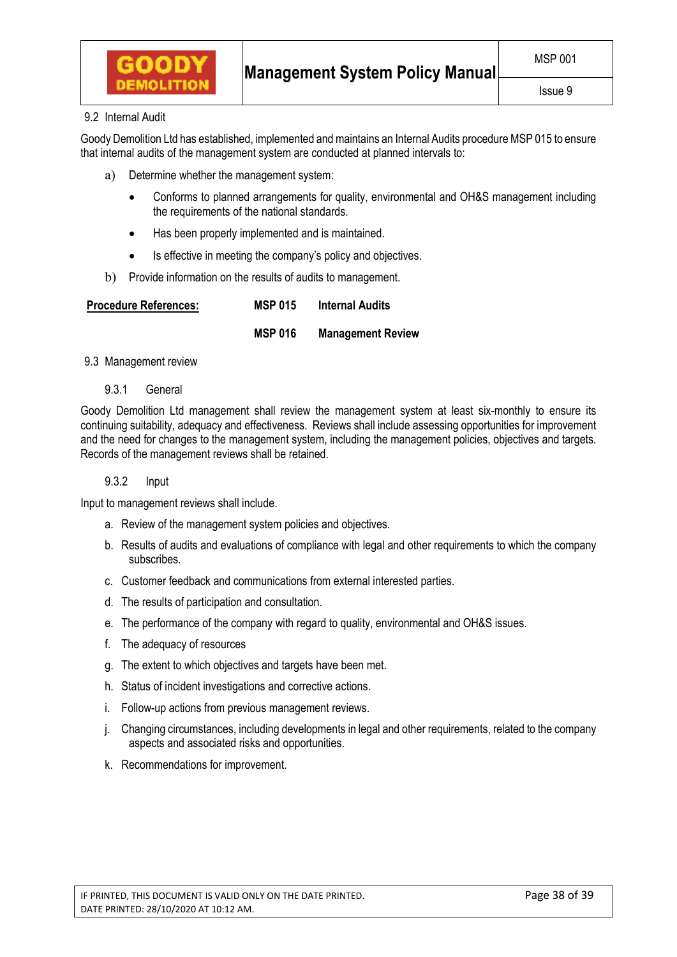

# 9.2 Internal Audit

Goody Demolition Ltd has established, implemented and maintains an Internal Audits procedure MSP 015 to ensure that internal audits of the management system are conducted at planned intervals to:

- a) Determine whether the management system:
	- Conforms to planned arrangements for quality, environmental and OH&S management including the requirements of the national standards.
	- Has been properly implemented and is maintained.
	- Is effective in meeting the company's policy and objectives.
- b) Provide information on the results of audits to management.

| <b>Procedure References:</b> | <b>MSP 015</b> | <b>Internal Audits</b>   |  |
|------------------------------|----------------|--------------------------|--|
|                              | <b>MSP 016</b> | <b>Management Review</b> |  |

## 9.3 Management review

9.3.1 General

Goody Demolition Ltd management shall review the management system at least six-monthly to ensure its continuing suitability, adequacy and effectiveness. Reviews shall include assessing opportunities for improvement and the need for changes to the management system, including the management policies, objectives and targets. Records of the management reviews shall be retained.

## 9.3.2 Input

Input to management reviews shall include.

- a. Review of the management system policies and objectives.
- b. Results of audits and evaluations of compliance with legal and other requirements to which the company subscribes.
- c. Customer feedback and communications from external interested parties.
- d. The results of participation and consultation.
- e. The performance of the company with regard to quality, environmental and OH&S issues.
- f. The adequacy of resources
- g. The extent to which objectives and targets have been met.
- h. Status of incident investigations and corrective actions.
- i. Follow-up actions from previous management reviews.
- j. Changing circumstances, including developments in legal and other requirements, related to the company aspects and associated risks and opportunities.
- k. Recommendations for improvement.